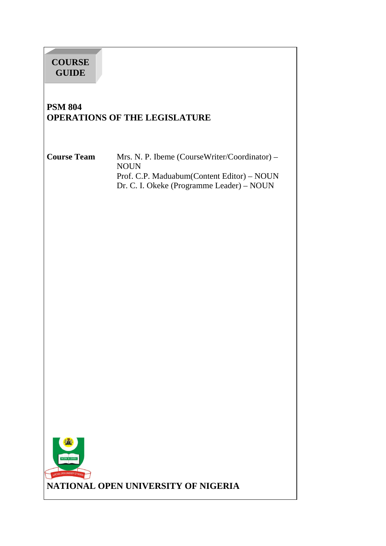# **COURSE GUIDE**

# **PSM 804 OPERATIONS OF THE LEGISLATURE**

**Course Team** Mrs. N. P. Ibeme (CourseWriter/Coordinator) – NOUN Prof. C.P. Maduabum(Content Editor) – NOUN Dr. C. I. Okeke (Programme Leader) – NOUN

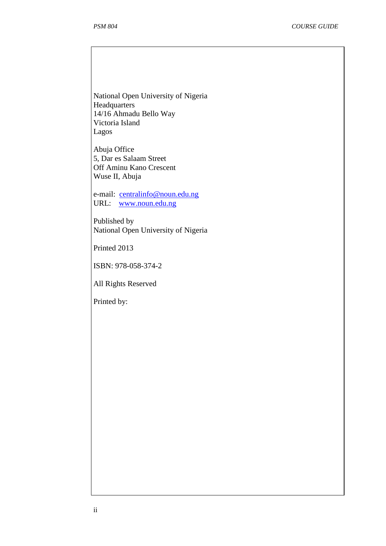National Open University of Nigeria **Headquarters** 14/16 Ahmadu Bello Way Victoria Island Lagos

Abuja Office 5, Dar es Salaam Street Off Aminu Kano Crescent Wuse II, Abuja

e-mail: centralinfo@noun.edu.ng URL: www.noun.edu.ng

Published by National Open University of Nigeria

Printed 2013

ISBN: 978-058-374-2

All Rights Reserved

Printed by: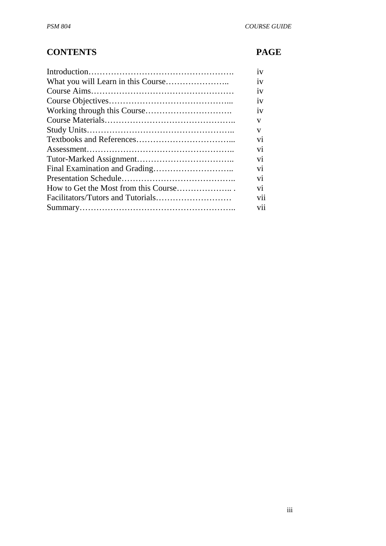# **CONTENTS PAGE**

|                                      | 1V  |
|--------------------------------------|-----|
|                                      | 1V  |
|                                      | iv  |
|                                      | 1V  |
|                                      | iv  |
|                                      | V   |
|                                      | V   |
|                                      | V1  |
|                                      | V1  |
|                                      | vi  |
|                                      | vi  |
|                                      | vi  |
| How to Get the Most from this Course | vi  |
|                                      | vii |
|                                      | V11 |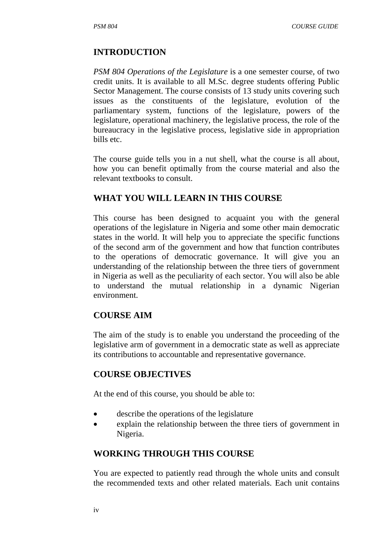#### **INTRODUCTION**

*PSM 804 Operations of the Legislature* is a one semester course, of two credit units. It is available to all M.Sc. degree students offering Public Sector Management. The course consists of 13 study units covering such issues as the constituents of the legislature, evolution of the parliamentary system, functions of the legislature, powers of the legislature, operational machinery, the legislative process, the role of the bureaucracy in the legislative process, legislative side in appropriation bills etc.

The course guide tells you in a nut shell, what the course is all about, how you can benefit optimally from the course material and also the relevant textbooks to consult.

#### **WHAT YOU WILL LEARN IN THIS COURSE**

This course has been designed to acquaint you with the general operations of the legislature in Nigeria and some other main democratic states in the world. It will help you to appreciate the specific functions of the second arm of the government and how that function contributes to the operations of democratic governance. It will give you an understanding of the relationship between the three tiers of government in Nigeria as well as the peculiarity of each sector. You will also be able to understand the mutual relationship in a dynamic Nigerian environment.

#### **COURSE AIM**

The aim of the study is to enable you understand the proceeding of the legislative arm of government in a democratic state as well as appreciate its contributions to accountable and representative governance.

#### **COURSE OBJECTIVES**

At the end of this course, you should be able to:

- describe the operations of the legislature
- explain the relationship between the three tiers of government in Nigeria.

#### **WORKING THROUGH THIS COURSE**

You are expected to patiently read through the whole units and consult the recommended texts and other related materials. Each unit contains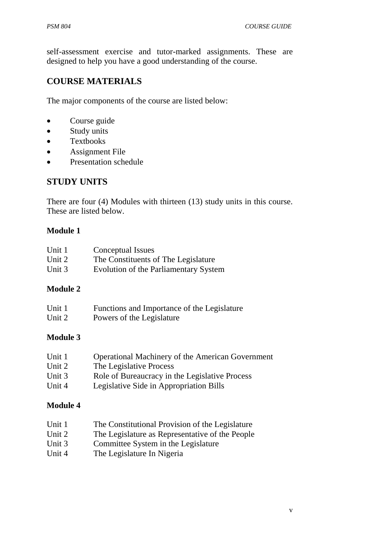self-assessment exercise and tutor-marked assignments. These are designed to help you have a good understanding of the course.

# **COURSE MATERIALS**

The major components of the course are listed below:

- Course guide
- Study units
- Textbooks
- Assignment File
- Presentation schedule

# **STUDY UNITS**

There are four (4) Modules with thirteen (13) study units in this course. These are listed below.

#### **Module 1**

| Unit 1 | Conceptual Issues                     |
|--------|---------------------------------------|
| Unit 2 | The Constituents of The Legislature   |
| Unit 3 | Evolution of the Parliamentary System |

## **Module 2**

| Unit 1 | Functions and Importance of the Legislature |
|--------|---------------------------------------------|
| Unit 2 | Powers of the Legislature                   |

## **Module 3**

| Unit 1   | <b>Operational Machinery of the American Government</b> |
|----------|---------------------------------------------------------|
| Unit 2   | The Legislative Process                                 |
| Unit $3$ | Role of Bureaucracy in the Legislative Process          |
| Unit 4   | Legislative Side in Appropriation Bills                 |

## **Module 4**

- Unit 1 The Constitutional Provision of the Legislature
- Unit 2 The Legislature as Representative of the People
- Unit 3 Committee System in the Legislature
- Unit 4 The Legislature In Nigeria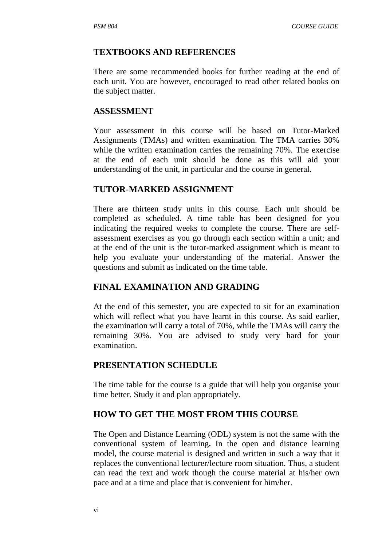#### **TEXTBOOKS AND REFERENCES**

There are some recommended books for further reading at the end of each unit. You are however, encouraged to read other related books on the subject matter.

#### **ASSESSMENT**

Your assessment in this course will be based on Tutor-Marked Assignments (TMAs) and written examination. The TMA carries 30% while the written examination carries the remaining 70%. The exercise at the end of each unit should be done as this will aid your understanding of the unit, in particular and the course in general.

#### **TUTOR-MARKED ASSIGNMENT**

There are thirteen study units in this course. Each unit should be completed as scheduled. A time table has been designed for you indicating the required weeks to complete the course. There are selfassessment exercises as you go through each section within a unit; and at the end of the unit is the tutor-marked assignment which is meant to help you evaluate your understanding of the material. Answer the questions and submit as indicated on the time table.

## **FINAL EXAMINATION AND GRADING**

At the end of this semester, you are expected to sit for an examination which will reflect what you have learnt in this course. As said earlier, the examination will carry a total of 70%, while the TMAs will carry the remaining 30%. You are advised to study very hard for your examination.

#### **PRESENTATION SCHEDULE**

The time table for the course is a guide that will help you organise your time better. Study it and plan appropriately.

#### **HOW TO GET THE MOST FROM THIS COURSE**

The Open and Distance Learning (ODL) system is not the same with the conventional system of learning**.** In the open and distance learning model, the course material is designed and written in such a way that it replaces the conventional lecturer/lecture room situation. Thus, a student can read the text and work though the course material at his/her own pace and at a time and place that is convenient for him/her.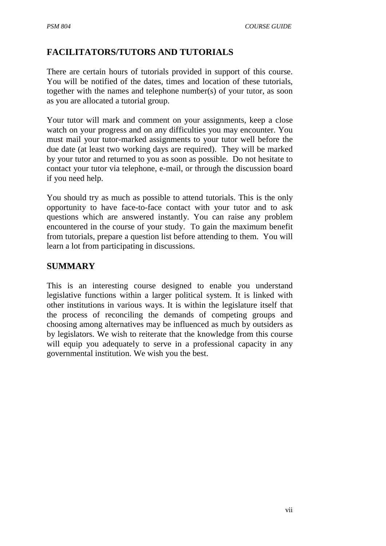# **FACILITATORS/TUTORS AND TUTORIALS**

There are certain hours of tutorials provided in support of this course. You will be notified of the dates, times and location of these tutorials, together with the names and telephone number(s) of your tutor, as soon as you are allocated a tutorial group.

Your tutor will mark and comment on your assignments, keep a close watch on your progress and on any difficulties you may encounter. You must mail your tutor-marked assignments to your tutor well before the due date (at least two working days are required). They will be marked by your tutor and returned to you as soon as possible. Do not hesitate to contact your tutor via telephone, e-mail, or through the discussion board if you need help.

You should try as much as possible to attend tutorials. This is the only opportunity to have face-to-face contact with your tutor and to ask questions which are answered instantly. You can raise any problem encountered in the course of your study. To gain the maximum benefit from tutorials, prepare a question list before attending to them. You will learn a lot from participating in discussions.

## **SUMMARY**

This is an interesting course designed to enable you understand legislative functions within a larger political system. It is linked with other institutions in various ways. It is within the legislature itself that the process of reconciling the demands of competing groups and choosing among alternatives may be influenced as much by outsiders as by legislators. We wish to reiterate that the knowledge from this course will equip you adequately to serve in a professional capacity in any governmental institution. We wish you the best.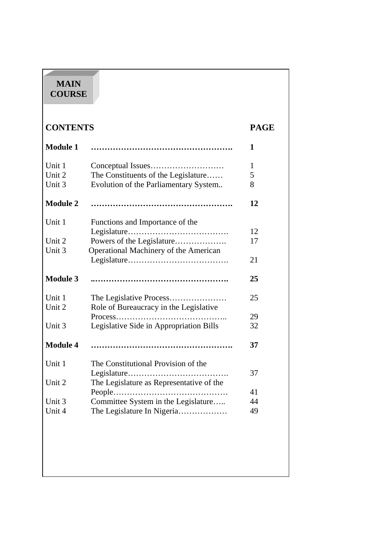# **MAIN COURSE**

| <b>CONTENTS</b>  |                                                                    | <b>PAGE</b> |
|------------------|--------------------------------------------------------------------|-------------|
| <b>Module 1</b>  |                                                                    | 1           |
| Unit 1           |                                                                    | 1           |
| Unit 2           | The Constituents of the Legislature                                | 5           |
| Unit 3           | Evolution of the Parliamentary System                              | 8           |
| <b>Module 2</b>  |                                                                    | 12          |
| Unit 1           | Functions and Importance of the                                    |             |
|                  |                                                                    | 12          |
| Unit 2<br>Unit 3 | Powers of the Legislature<br>Operational Machinery of the American | 17          |
|                  |                                                                    | 21          |
| <b>Module 3</b>  |                                                                    | 25          |
| Unit 1           | The Legislative Process                                            | 25          |
| Unit 2           | Role of Bureaucracy in the Legislative                             | 29          |
| Unit 3           | Legislative Side in Appropriation Bills                            | 32          |
| <b>Module 4</b>  |                                                                    | 37          |
| Unit 1           | The Constitutional Provision of the                                |             |
|                  |                                                                    | 37          |
| Unit 2           | The Legislature as Representative of the                           |             |
|                  |                                                                    | 41          |
|                  | Committee System in the Legislature                                | 44          |
| Unit 3           | The Legislature In Nigeria                                         | 49          |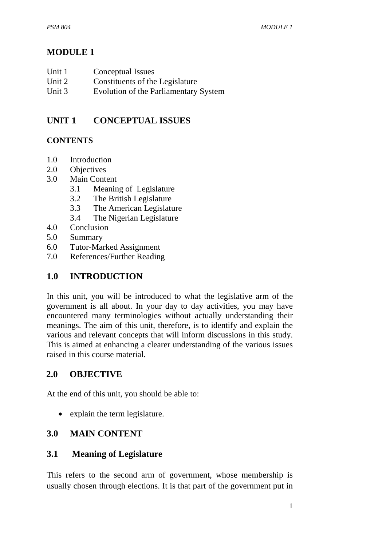# **MODULE 1**

| Unit 1 | Conceptual Issues |
|--------|-------------------|
|--------|-------------------|

- Unit 2 Constituents of the Legislature
- Unit 3 Evolution of the Parliamentary System

# **UNIT 1 CONCEPTUAL ISSUES**

# **CONTENTS**

- 1.0 Introduction
- 2.0 Objectives
- 3.0 Main Content
	- 3.1 Meaning of Legislature
	- 3.2 The British Legislature
	- 3.3 The American Legislature
	- 3.4 The Nigerian Legislature
- 4.0 Conclusion
- 5.0 Summary
- 6.0 Tutor-Marked Assignment
- 7.0 References/Further Reading

# **1.0 INTRODUCTION**

In this unit, you will be introduced to what the legislative arm of the government is all about. In your day to day activities, you may have encountered many terminologies without actually understanding their meanings. The aim of this unit, therefore, is to identify and explain the various and relevant concepts that will inform discussions in this study. This is aimed at enhancing a clearer understanding of the various issues raised in this course material.

# **2.0 OBJECTIVE**

At the end of this unit, you should be able to:

• explain the term legislature.

# **3.0 MAIN CONTENT**

# **3.1 Meaning of Legislature**

This refers to the second arm of government, whose membership is usually chosen through elections. It is that part of the government put in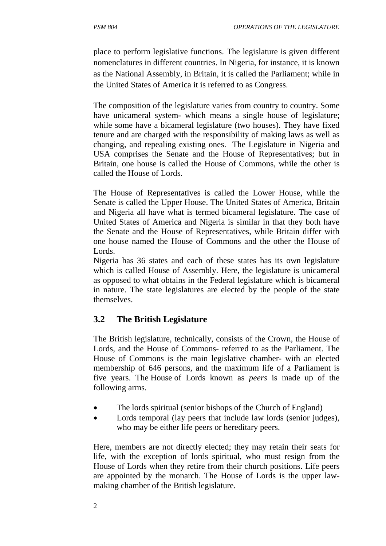place to perform legislative functions. The legislature is given different nomenclatures in different countries. In Nigeria, for instance, it is known as the National Assembly, in Britain, it is called the Parliament; while in the United States of America it is referred to as Congress.

The composition of the legislature varies from country to country. Some have unicameral system- which means a single house of legislature; while some have a bicameral legislature (two houses). They have fixed tenure and are charged with the responsibility of making laws as well as changing, and repealing existing ones. The Legislature in Nigeria and USA comprises the Senate and the House of Representatives; but in Britain, one house is called the House of Commons, while the other is called the House of Lords.

The House of Representatives is called the Lower House, while the Senate is called the Upper House. The United States of America, Britain and Nigeria all have what is termed bicameral legislature. The case of United States of America and Nigeria is similar in that they both have the Senate and the House of Representatives, while Britain differ with one house named the House of Commons and the other the House of Lords.

Nigeria has 36 states and each of these states has its own legislature which is called House of Assembly. Here, the legislature is unicameral as opposed to what obtains in the Federal legislature which is bicameral in nature. The state legislatures are elected by the people of the state themselves.

## **3.2 The British Legislature**

The British legislature, technically, consists of the Crown, the House of Lords, and the House of Commons- referred to as the Parliament. The House of Commons is the main legislative chamber- with an elected membership of 646 persons, and the maximum life of a Parliament is five years. The House of Lords known as *peers* is made up of the following arms.

- The lords spiritual (senior bishops of the Church of England)
- Lords temporal (lay peers that include law lords (senior judges), who may be either life peers or hereditary peers.

Here, members are not directly elected; they may retain their seats for life, with the exception of lords spiritual, who must resign from the House of Lords when they retire from their church positions. Life peers are appointed by the monarch. The House of Lords is the upper lawmaking chamber of the British legislature.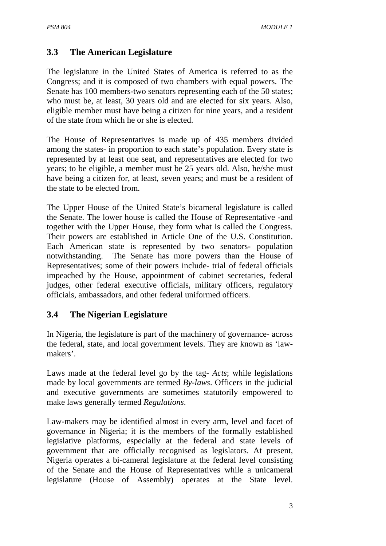## **3.3 The American Legislature**

The legislature in the United States of America is referred to as the Congress; and it is composed of two chambers with equal powers. The Senate has 100 members-two senators representing each of the 50 states; who must be, at least, 30 years old and are elected for six years. Also, eligible member must have being a citizen for nine years, and a resident of the state from which he or she is elected.

The House of Representatives is made up of 435 members divided among the states- in proportion to each state's population. Every state is represented by at least one seat, and representatives are elected for two years; to be eligible, a member must be 25 years old. Also, he/she must have being a citizen for, at least, seven years; and must be a resident of the state to be elected from.

The Upper House of the United State's bicameral legislature is called the Senate. The lower house is called the House of Representative -and together with the Upper House, they form what is called the Congress. Their powers are established in Article One of the U.S. Constitution. Each American state is represented by two senators- population notwithstanding. The Senate has more powers than the House of Representatives; some of their powers include- trial of federal officials impeached by the House, appointment of cabinet secretaries, federal judges, other federal executive officials, military officers, regulatory officials, ambassadors, and other federal uniformed officers.

## **3.4 The Nigerian Legislature**

In Nigeria, the legislature is part of the machinery of governance- across the federal, state, and local government levels. They are known as 'lawmakers'.

Laws made at the federal level go by the tag- *Acts*; while legislations made by local governments are termed *By-laws*. Officers in the judicial and executive governments are sometimes statutorily empowered to make laws generally termed *Regulations*.

Law-makers may be identified almost in every arm, level and facet of governance in Nigeria; it is the members of the formally established legislative platforms, especially at the federal and state levels of government that are officially recognised as legislators. At present, Nigeria operates a bi-cameral legislature at the federal level consisting of the Senate and the House of Representatives while a unicameral legislature (House of Assembly) operates at the State level.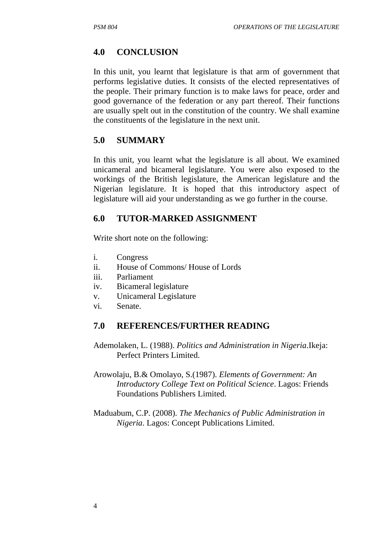## **4.0 CONCLUSION**

In this unit, you learnt that legislature is that arm of government that performs legislative duties. It consists of the elected representatives of the people. Their primary function is to make laws for peace, order and good governance of the federation or any part thereof. Their functions are usually spelt out in the constitution of the country. We shall examine the constituents of the legislature in the next unit.

#### **5.0 SUMMARY**

In this unit, you learnt what the legislature is all about. We examined unicameral and bicameral legislature. You were also exposed to the workings of the British legislature, the American legislature and the Nigerian legislature. It is hoped that this introductory aspect of legislature will aid your understanding as we go further in the course.

#### **6.0 TUTOR-MARKED ASSIGNMENT**

Write short note on the following:

- i. Congress
- ii. House of Commons/ House of Lords
- iii. Parliament
- iv. Bicameral legislature
- v. Unicameral Legislature
- vi. Senate.

#### **7.0 REFERENCES/FURTHER READING**

- Ademolaken, L. (1988). *Politics and Administration in Nigeria*.Ikeja: Perfect Printers Limited.
- Arowolaju, B.& Omolayo, S.(1987). *Elements of Government: An Introductory College Text on Political Science*. Lagos: Friends Foundations Publishers Limited.
- Maduabum, C.P. (2008). *The Mechanics of Public Administration in Nigeria*. Lagos: Concept Publications Limited.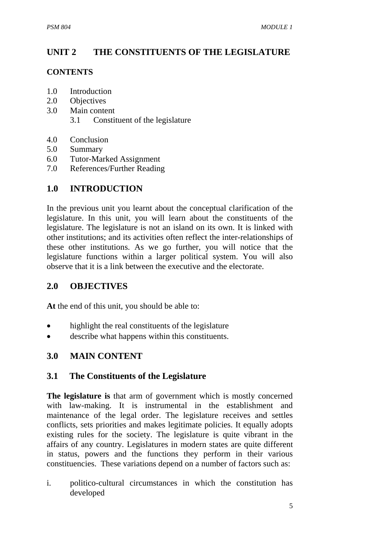# **UNIT 2 THE CONSTITUENTS OF THE LEGISLATURE**

#### **CONTENTS**

- 1.0 Introduction
- 2.0 Objectives
- 3.0 Main content
	- 3.1 Constituent of the legislature
- 4.0 Conclusion
- 5.0 Summary
- 6.0 Tutor-Marked Assignment
- 7.0 References/Further Reading

# **1.0 INTRODUCTION**

In the previous unit you learnt about the conceptual clarification of the legislature. In this unit, you will learn about the constituents of the legislature. The legislature is not an island on its own. It is linked with other institutions; and its activities often reflect the inter-relationships of these other institutions. As we go further, you will notice that the legislature functions within a larger political system. You will also observe that it is a link between the executive and the electorate.

## **2.0 OBJECTIVES**

**At** the end of this unit, you should be able to:

- highlight the real constituents of the legislature
- describe what happens within this constituents.

## **3.0 MAIN CONTENT**

## **3.1 The Constituents of the Legislature**

**The legislature is** that arm of government which is mostly concerned with law-making. It is instrumental in the establishment and maintenance of the legal order. The legislature receives and settles conflicts, sets priorities and makes legitimate policies. It equally adopts existing rules for the society. The legislature is quite vibrant in the affairs of any country. Legislatures in modern states are quite different in status, powers and the functions they perform in their various constituencies. These variations depend on a number of factors such as:

i. politico-cultural circumstances in which the constitution has developed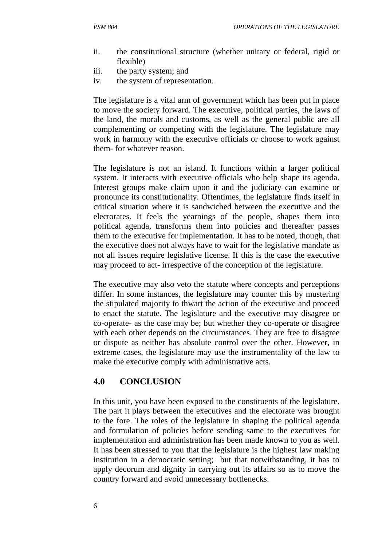- ii. the constitutional structure (whether unitary or federal, rigid or flexible)
- iii. the party system; and
- iv. the system of representation.

The legislature is a vital arm of government which has been put in place to move the society forward. The executive, political parties, the laws of the land, the morals and customs, as well as the general public are all complementing or competing with the legislature. The legislature may work in harmony with the executive officials or choose to work against them- for whatever reason.

The legislature is not an island. It functions within a larger political system. It interacts with executive officials who help shape its agenda. Interest groups make claim upon it and the judiciary can examine or pronounce its constitutionality. Oftentimes, the legislature finds itself in critical situation where it is sandwiched between the executive and the electorates. It feels the yearnings of the people, shapes them into political agenda, transforms them into policies and thereafter passes them to the executive for implementation. It has to be noted, though, that the executive does not always have to wait for the legislative mandate as not all issues require legislative license. If this is the case the executive may proceed to act- irrespective of the conception of the legislature.

The executive may also veto the statute where concepts and perceptions differ. In some instances, the legislature may counter this by mustering the stipulated majority to thwart the action of the executive and proceed to enact the statute. The legislature and the executive may disagree or co-operate- as the case may be; but whether they co-operate or disagree with each other depends on the circumstances. They are free to disagree or dispute as neither has absolute control over the other. However, in extreme cases, the legislature may use the instrumentality of the law to make the executive comply with administrative acts.

## **4.0 CONCLUSION**

In this unit, you have been exposed to the constituents of the legislature. The part it plays between the executives and the electorate was brought to the fore. The roles of the legislature in shaping the political agenda and formulation of policies before sending same to the executives for implementation and administration has been made known to you as well. It has been stressed to you that the legislature is the highest law making institution in a democratic setting; but that notwithstanding, it has to apply decorum and dignity in carrying out its affairs so as to move the country forward and avoid unnecessary bottlenecks.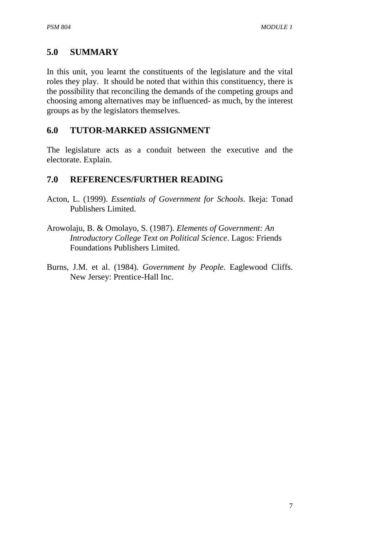# **5.0 SUMMARY**

In this unit, you learnt the constituents of the legislature and the vital roles they play. It should be noted that within this constituency, there is the possibility that reconciling the demands of the competing groups and choosing among alternatives may be influenced- as much, by the interest groups as by the legislators themselves.

## **6.0 TUTOR-MARKED ASSIGNMENT**

The legislature acts as a conduit between the executive and the electorate. Explain.

# **7.0 REFERENCES/FURTHER READING**

- Acton, L. (1999). *Essentials of Government for Schools*. Ikeja: Tonad Publishers Limited.
- Arowolaju, B. & Omolayo, S. (1987). *Elements of Government: An Introductory College Text on Political Science*. Lagos: Friends Foundations Publishers Limited.
- Burns, J.M. et al. (1984). *Government by People*. Eaglewood Cliffs. New Jersey: Prentice-Hall Inc.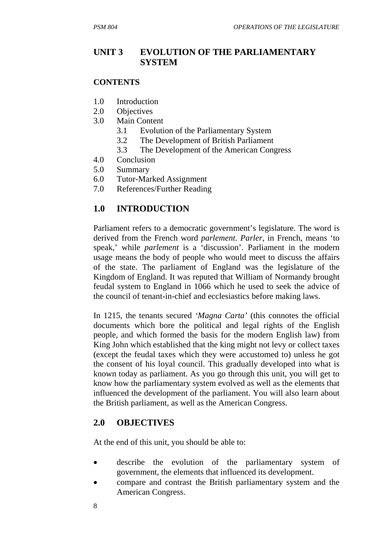# **UNIT 3 EVOLUTION OF THE PARLIAMENTARY SYSTEM**

#### **CONTENTS**

- 1.0 Introduction
- 2.0 Objectives
- 3.0 Main Content
	- 3.1 Evolution of the Parliamentary System
	- 3.2 The Development of British Parliament
	- 3.3 The Development of the American Congress
- 4.0 Conclusion
- 5.0 Summary
- 6.0 Tutor-Marked Assignment
- 7.0 References/Further Reading

# **1.0 INTRODUCTION**

Parliament refers to a democratic government's legislature. The word is derived from the French word *parlement*. *Parler*, in French, means 'to speak,' while *parlement* is a 'discussion'. Parliament in the modern usage means the body of people who would meet to discuss the affairs of the state. The parliament of England was the legislature of the Kingdom of England. It was reputed that William of Normandy brought feudal system to England in 1066 which he used to seek the advice of the council of tenant-in-chief and ecclesiastics before making laws.

In 1215, the tenants secured *'Magna Carta'* (this connotes the official documents which bore the political and legal rights of the English people, and which formed the basis for the modern English law) from King John which established that the king might not levy or collect taxes (except the feudal taxes which they were accustomed to) unless he got the consent of his loyal council. This gradually developed into what is known today as parliament. As you go through this unit, you will get to know how the parliamentary system evolved as well as the elements that influenced the development of the parliament. You will also learn about the British parliament, as well as the American Congress.

## **2.0 OBJECTIVES**

At the end of this unit, you should be able to:

- describe the evolution of the parliamentary system of government, the elements that influenced its development.
- compare and contrast the British parliamentary system and the American Congress.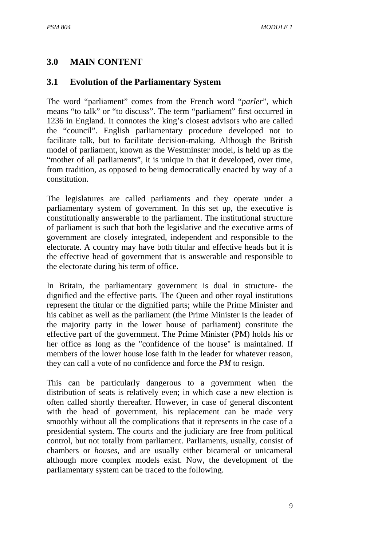#### **3.0 MAIN CONTENT**

#### **3.1 Evolution of the Parliamentary System**

The word "parliament" comes from the French word "*parler*", which means "to talk" or "to discuss". The term "parliament" first occurred in 1236 in England. It connotes the king's closest advisors who are called the "council". English parliamentary procedure developed not to facilitate talk, but to facilitate decision-making. Although the British model of parliament, known as the Westminster model, is held up as the "mother of all parliaments", it is unique in that it developed, over time, from tradition, as opposed to being democratically enacted by way of a constitution.

The legislatures are called parliaments and they operate under a parliamentary system of government. In this set up, the executive is constitutionally answerable to the parliament. The institutional structure of parliament is such that both the legislative and the executive arms of government are closely integrated, independent and responsible to the electorate. A country may have both titular and effective heads but it is the effective head of government that is answerable and responsible to the electorate during his term of office.

In Britain, the parliamentary government is dual in structure- the dignified and the effective parts. The Queen and other royal institutions represent the titular or the dignified parts; while the Prime Minister and his cabinet as well as the parliament (the Prime Minister is the leader of the majority party in the lower house of parliament) constitute the effective part of the government. The Prime Minister (PM) holds his or her office as long as the "confidence of the house" is maintained. If members of the lower house lose faith in the leader for whatever reason, they can call a vote of no confidence and force the *PM* to resign.

This can be particularly dangerous to a government when the distribution of seats is relatively even; in which case a new election is often called shortly thereafter. However, in case of general discontent with the head of government, his replacement can be made very smoothly without all the complications that it represents in the case of a presidential system. The courts and the judiciary are free from political control, but not totally from parliament. Parliaments, usually, consist of chambers or *houses*, and are usually either bicameral or unicameral although more complex models exist. Now, the development of the parliamentary system can be traced to the following.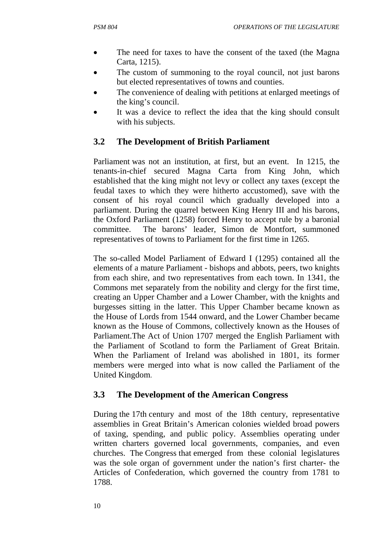- The need for taxes to have the consent of the taxed (the Magna Carta, 1215).
- The custom of summoning to the royal council, not just barons but elected representatives of towns and counties.
- The convenience of dealing with petitions at enlarged meetings of the king's council.
- It was a device to reflect the idea that the king should consult with his subjects.

# **3.2 The Development of British Parliament**

Parliament was not an institution, at first, but an event. In 1215, the tenants-in-chief secured Magna Carta from King John, which established that the king might not levy or collect any taxes (except the feudal taxes to which they were hitherto accustomed), save with the consent of his royal council which gradually developed into a parliament. During the quarrel between King Henry III and his barons, the Oxford Parliament (1258) forced Henry to accept rule by a baronial committee. The barons' leader, Simon de Montfort, summoned representatives of towns to Parliament for the first time in 1265.

The so-called Model Parliament of Edward I (1295) contained all the elements of a mature Parliament - bishops and abbots, peers, two knights from each shire, and two representatives from each town. In 1341, the Commons met separately from the nobility and clergy for the first time, creating an Upper Chamber and a Lower Chamber, with the knights and burgesses sitting in the latter. This Upper Chamber became known as the House of Lords from 1544 onward, and the Lower Chamber became known as the House of Commons, collectively known as the Houses of Parliament.The Act of Union 1707 merged the English Parliament with the Parliament of Scotland to form the Parliament of Great Britain. When the Parliament of Ireland was abolished in 1801, its former members were merged into what is now called the Parliament of the United Kingdom.

# **3.3 The Development of the American Congress**

During the 17th century and most of the 18th century, representative assemblies in Great Britain's American colonies wielded broad powers of taxing, spending, and public policy. Assemblies operating under written charters governed local governments, companies, and even churches. The Congress that emerged from these colonial legislatures was the sole organ of government under the nation's first charter- the Articles of Confederation, which governed the country from 1781 to 1788.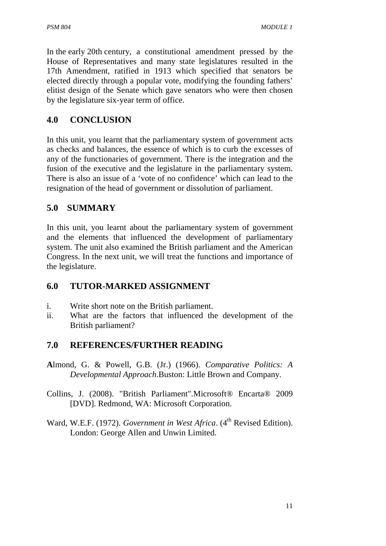In the early 20th century, a constitutional amendment pressed by the House of Representatives and many state legislatures resulted in the 17th Amendment, ratified in 1913 which specified that senators be elected directly through a popular vote, modifying the founding fathers' elitist design of the Senate which gave senators who were then chosen by the legislature six-year term of office.

# **4.0 CONCLUSION**

In this unit, you learnt that the parliamentary system of government acts as checks and balances, the essence of which is to curb the excesses of any of the functionaries of government. There is the integration and the fusion of the executive and the legislature in the parliamentary system. There is also an issue of a 'vote of no confidence' which can lead to the resignation of the head of government or dissolution of parliament.

# **5.0 SUMMARY**

In this unit, you learnt about the parliamentary system of government and the elements that influenced the development of parliamentary system. The unit also examined the British parliament and the American Congress. In the next unit, we will treat the functions and importance of the legislature.

# **6.0 TUTOR-MARKED ASSIGNMENT**

- i. Write short note on the British parliament.
- ii. What are the factors that influenced the development of the British parliament?

# **7.0 REFERENCES/FURTHER READING**

- **A**lmond, G. & Powell, G.B. (Jr.) (1966). *Comparative Politics: A Developmental Approach*.Buston: Little Brown and Company.
- Collins, J. (2008). "British Parliament".Microsoft® Encarta® 2009 [DVD]. Redmond, WA: Microsoft Corporation.
- Ward, W.E.F. (1972). *Government in West Africa*. (4<sup>th</sup> Revised Edition). London: George Allen and Unwin Limited.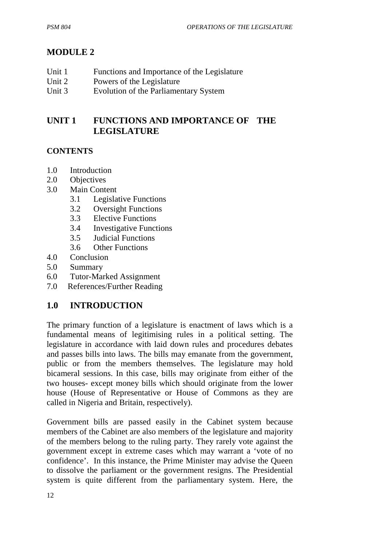# **MODULE 2**

| Unit 1 | Functions and Importance of the Legislature |
|--------|---------------------------------------------|
| Unit 2 | Powers of the Legislature                   |
| Unit 3 | Evolution of the Parliamentary System       |

# **UNIT 1 FUNCTIONS AND IMPORTANCE OF THE LEGISLATURE**

## **CONTENTS**

- 1.0 Introduction
- 2.0 Objectives
- 3.0 Main Content
	- 3.1 Legislative Functions
	- 3.2 Oversight Functions
	- 3.3 Elective Functions
	- 3.4 Investigative Functions
	- 3.5 Judicial Functions
	- 3.6 Other Functions
- 4.0 Conclusion
- 5.0 Summary
- 6.0 Tutor-Marked Assignment
- 7.0 References/Further Reading

# **1.0 INTRODUCTION**

The primary function of a legislature is enactment of laws which is a fundamental means of legitimising rules in a political setting. The legislature in accordance with laid down rules and procedures debates and passes bills into laws. The bills may emanate from the government, public or from the members themselves. The legislature may hold bicameral sessions. In this case, bills may originate from either of the two houses- except money bills which should originate from the lower house (House of Representative or House of Commons as they are called in Nigeria and Britain, respectively).

Government bills are passed easily in the Cabinet system because members of the Cabinet are also members of the legislature and majority of the members belong to the ruling party. They rarely vote against the government except in extreme cases which may warrant a 'vote of no confidence'. In this instance, the Prime Minister may advise the Queen to dissolve the parliament or the government resigns. The Presidential system is quite different from the parliamentary system. Here, the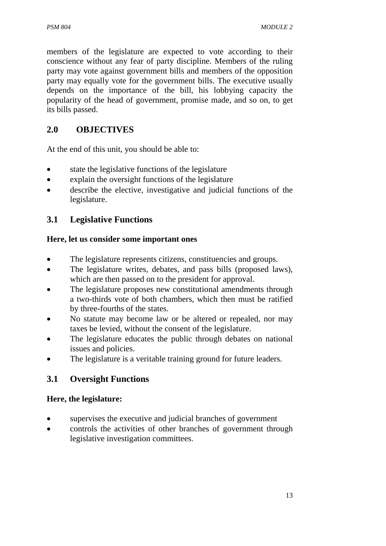members of the legislature are expected to vote according to their conscience without any fear of party discipline. Members of the ruling party may vote against government bills and members of the opposition party may equally vote for the government bills. The executive usually depends on the importance of the bill, his lobbying capacity the popularity of the head of government, promise made, and so on, to get its bills passed.

# **2.0 OBJECTIVES**

At the end of this unit, you should be able to:

- state the legislative functions of the legislature
- explain the oversight functions of the legislature
- describe the elective, investigative and judicial functions of the legislature.

# **3.1 Legislative Functions**

#### **Here, let us consider some important ones**

- The legislature represents citizens, constituencies and groups.
- The legislature writes, debates, and pass bills (proposed laws), which are then passed on to the president for approval.
- The legislature proposes new constitutional amendments through a two-thirds vote of both chambers, which then must be ratified by three-fourths of the states.
- No statute may become law or be altered or repealed, nor may taxes be levied, without the consent of the legislature.
- The legislature educates the public through debates on national issues and policies.
- The legislature is a veritable training ground for future leaders.

# **3.1 Oversight Functions**

#### **Here, the legislature:**

- supervises the executive and judicial branches of government
- controls the activities of other branches of government through legislative investigation committees.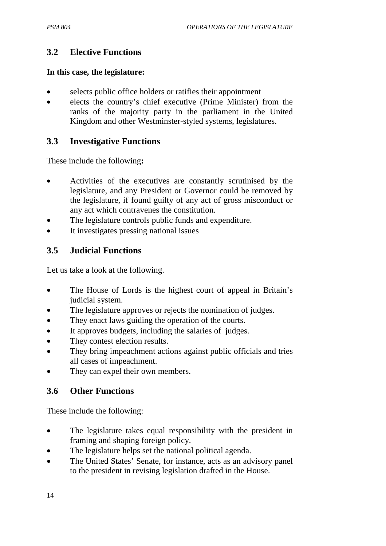## **3.2 Elective Functions**

#### **In this case, the legislature:**

- selects public office holders or ratifies their appointment
- elects the country's chief executive (Prime Minister) from the ranks of the majority party in the parliament in the United Kingdom and other Westminster-styled systems, legislatures.

## **3.3 Investigative Functions**

These include the following**:** 

- Activities of the executives are constantly scrutinised by the legislature, and any President or Governor could be removed by the legislature, if found guilty of any act of gross misconduct or any act which contravenes the constitution.
- The legislature controls public funds and expenditure.
- It investigates pressing national issues

# **3.5 Judicial Functions**

Let us take a look at the following.

- The House of Lords is the highest court of appeal in Britain's judicial system.
- The legislature approves or rejects the nomination of judges.
- They enact laws guiding the operation of the courts.
- It approves budgets, including the salaries of judges.
- They contest election results.
- They bring impeachment actions against public officials and tries all cases of impeachment.
- They can expel their own members.

# **3.6 Other Functions**

These include the following:

- The legislature takes equal responsibility with the president in framing and shaping foreign policy.
- The legislature helps set the national political agenda.
- The United States' Senate, for instance, acts as an advisory panel to the president in revising legislation drafted in the House.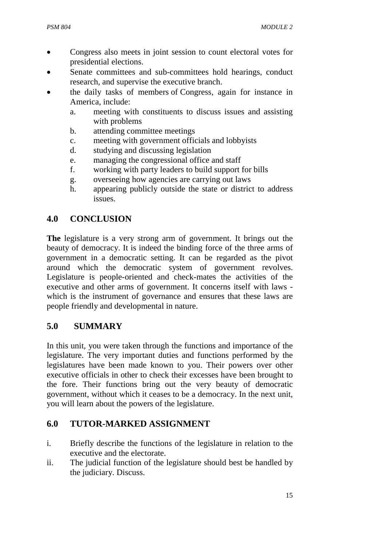- Congress also meets in joint session to count electoral votes for presidential elections.
- Senate committees and sub-committees hold hearings, conduct research, and supervise the executive branch.
- the daily tasks of members of Congress, again for instance in America, include:
	- a. meeting with constituents to discuss issues and assisting with problems
	- b. attending committee meetings
	- c. meeting with government officials and lobbyists
	- d. studying and discussing legislation
	- e. managing the congressional office and staff
	- f. working with party leaders to build support for bills
	- g. overseeing how agencies are carrying out laws
	- h. appearing publicly outside the state or district to address issues.

#### **4.0 CONCLUSION**

**The** legislature is a very strong arm of government. It brings out the beauty of democracy. It is indeed the binding force of the three arms of government in a democratic setting. It can be regarded as the pivot around which the democratic system of government revolves. Legislature is people-oriented and check-mates the activities of the executive and other arms of government. It concerns itself with laws which is the instrument of governance and ensures that these laws are people friendly and developmental in nature.

#### **5.0 SUMMARY**

In this unit, you were taken through the functions and importance of the legislature. The very important duties and functions performed by the legislatures have been made known to you. Their powers over other executive officials in other to check their excesses have been brought to the fore. Their functions bring out the very beauty of democratic government, without which it ceases to be a democracy. In the next unit, you will learn about the powers of the legislature.

#### **6.0 TUTOR-MARKED ASSIGNMENT**

- i. Briefly describe the functions of the legislature in relation to the executive and the electorate.
- ii. The judicial function of the legislature should best be handled by the judiciary. Discuss.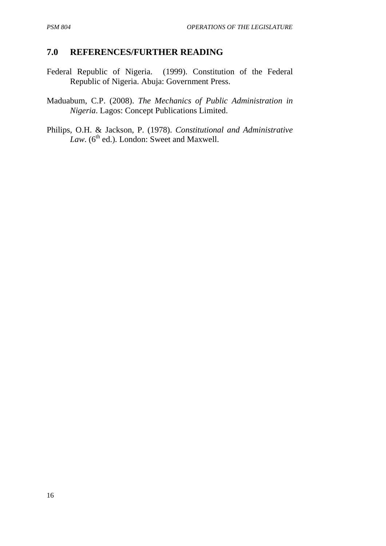#### **7.0 REFERENCES/FURTHER READING**

Federal Republic of Nigeria. (1999). Constitution of the Federal Republic of Nigeria. Abuja: Government Press.

Maduabum, C.P. (2008). *The Mechanics of Public Administration in Nigeria*. Lagos: Concept Publications Limited.

Philips, O.H. & Jackson, P. (1978). *Constitutional and Administrative*   $Law.$  ( $6<sup>th</sup>$  ed.). London: Sweet and Maxwell.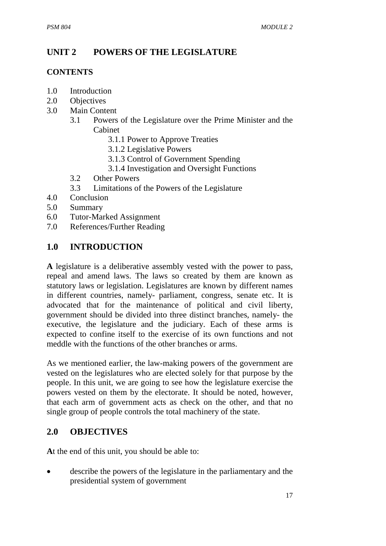# **UNIT 2 POWERS OF THE LEGISLATURE**

#### **CONTENTS**

- 1.0 Introduction
- 2.0 Objectives
- 3.0 Main Content
	- 3.1 Powers of the Legislature over the Prime Minister and the Cabinet
		- 3.1.1 Power to Approve Treaties
		- 3.1.2 Legislative Powers
		- 3.1.3 Control of Government Spending
		- 3.1.4 Investigation and Oversight Functions
	- 3.2 Other Powers
	- 3.3 Limitations of the Powers of the Legislature
- 4.0 Conclusion
- 5.0 Summary
- 6.0 Tutor-Marked Assignment
- 7.0 References/Further Reading

## **1.0 INTRODUCTION**

**A** legislature is a deliberative assembly vested with the power to pass, repeal and amend laws. The laws so created by them are known as statutory laws or legislation. Legislatures are known by different names in different countries, namely- parliament, congress, senate etc. It is advocated that for the maintenance of political and civil liberty, government should be divided into three distinct branches, namely- the executive, the legislature and the judiciary. Each of these arms is expected to confine itself to the exercise of its own functions and not meddle with the functions of the other branches or arms.

As we mentioned earlier, the law-making powers of the government are vested on the legislatures who are elected solely for that purpose by the people. In this unit, we are going to see how the legislature exercise the powers vested on them by the electorate. It should be noted, however, that each arm of government acts as check on the other, and that no single group of people controls the total machinery of the state.

## **2.0 OBJECTIVES**

**A**t the end of this unit, you should be able to:

• describe the powers of the legislature in the parliamentary and the presidential system of government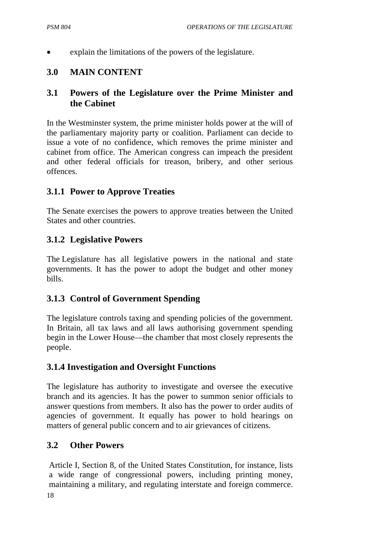explain the limitations of the powers of the legislature.

## **3.0 MAIN CONTENT**

## **3.1 Powers of the Legislature over the Prime Minister and the Cabinet**

In the Westminster system, the prime minister holds power at the will of the parliamentary majority party or coalition. Parliament can decide to issue a vote of no confidence, which removes the prime minister and cabinet from office. The American congress can impeach the president and other federal officials for treason, bribery, and other serious offences.

## **3.1.1 Power to Approve Treaties**

The Senate exercises the powers to approve treaties between the United States and other countries.

#### **3.1.2 Legislative Powers**

The Legislature has all legislative powers in the national and state governments. It has the power to adopt the budget and other money bills.

## **3.1.3 Control of Government Spending**

The legislature controls taxing and spending policies of the government. In Britain, all tax laws and all laws authorising government spending begin in the Lower House—the chamber that most closely represents the people.

## **3.1.4 Investigation and Oversight Functions**

The legislature has authority to investigate and oversee the executive branch and its agencies. It has the power to summon senior officials to answer questions from members. It also has the power to order audits of agencies of government. It equally has power to hold hearings on matters of general public concern and to air grievances of citizens.

#### **3.2 Other Powers**

Article I, Section 8, of the United States Constitution, for instance, lists a wide range of congressional powers, including printing money, maintaining a military, and regulating interstate and foreign commerce.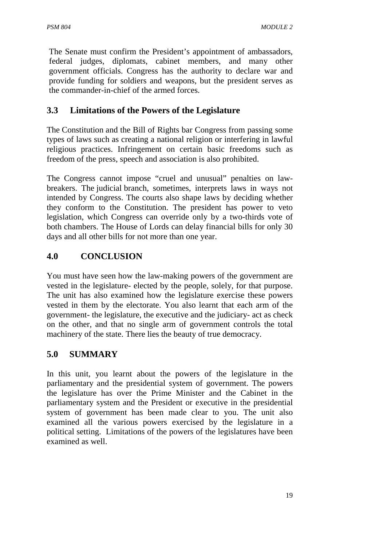The Senate must confirm the President's appointment of ambassadors, federal judges, diplomats, cabinet members, and many other government officials. Congress has the authority to declare war and provide funding for soldiers and weapons, but the president serves as the commander-in-chief of the armed forces.

# **3.3 Limitations of the Powers of the Legislature**

The Constitution and the Bill of Rights bar Congress from passing some types of laws such as creating a national religion or interfering in lawful religious practices. Infringement on certain basic freedoms such as freedom of the press, speech and association is also prohibited.

The Congress cannot impose "cruel and unusual" penalties on lawbreakers. The judicial branch, sometimes, interprets laws in ways not intended by Congress. The courts also shape laws by deciding whether they conform to the Constitution. The president has power to veto legislation, which Congress can override only by a two-thirds vote of both chambers. The House of Lords can delay financial bills for only 30 days and all other bills for not more than one year.

# **4.0 CONCLUSION**

You must have seen how the law-making powers of the government are vested in the legislature- elected by the people, solely, for that purpose. The unit has also examined how the legislature exercise these powers vested in them by the electorate. You also learnt that each arm of the government- the legislature, the executive and the judiciary- act as check on the other, and that no single arm of government controls the total machinery of the state. There lies the beauty of true democracy.

# **5.0 SUMMARY**

In this unit, you learnt about the powers of the legislature in the parliamentary and the presidential system of government. The powers the legislature has over the Prime Minister and the Cabinet in the parliamentary system and the President or executive in the presidential system of government has been made clear to you. The unit also examined all the various powers exercised by the legislature in a political setting. Limitations of the powers of the legislatures have been examined as well.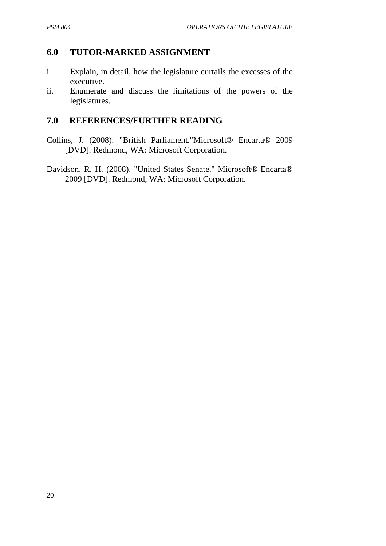#### **6.0 TUTOR-MARKED ASSIGNMENT**

- i. Explain, in detail, how the legislature curtails the excesses of the executive.
- ii. Enumerate and discuss the limitations of the powers of the legislatures.

#### **7.0 REFERENCES/FURTHER READING**

- Collins, J. (2008). "British Parliament."Microsoft® Encarta® 2009 [DVD]. Redmond, WA: Microsoft Corporation.
- Davidson, R. H. (2008). "United States Senate." Microsoft® Encarta® 2009 [DVD]. Redmond, WA: Microsoft Corporation.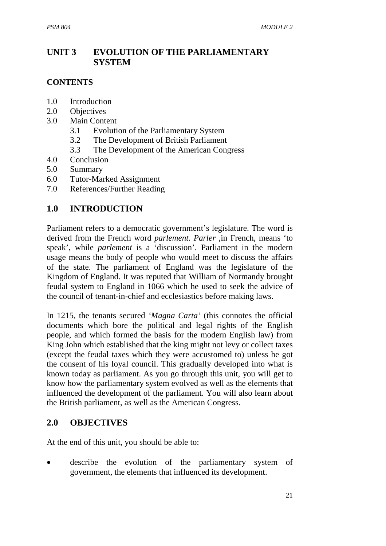# **UNIT 3 EVOLUTION OF THE PARLIAMENTARY SYSTEM**

#### **CONTENTS**

- 1.0 Introduction
- 2.0 Objectives
- 3.0 Main Content
	- 3.1 Evolution of the Parliamentary System
	- 3.2 The Development of British Parliament
	- 3.3 The Development of the American Congress
- 4.0 Conclusion
- 5.0 Summary
- 6.0 Tutor-Marked Assignment
- 7.0 References/Further Reading

## **1.0 INTRODUCTION**

Parliament refers to a democratic government's legislature. The word is derived from the French word *parlement*. *Parler* ,in French, means 'to speak', while *parlement* is a 'discussion'. Parliament in the modern usage means the body of people who would meet to discuss the affairs of the state. The parliament of England was the legislature of the Kingdom of England. It was reputed that William of Normandy brought feudal system to England in 1066 which he used to seek the advice of the council of tenant-in-chief and ecclesiastics before making laws.

In 1215, the tenants secured *'Magna Carta'* (this connotes the official documents which bore the political and legal rights of the English people, and which formed the basis for the modern English law) from King John which established that the king might not levy or collect taxes (except the feudal taxes which they were accustomed to) unless he got the consent of his loyal council. This gradually developed into what is known today as parliament. As you go through this unit, you will get to know how the parliamentary system evolved as well as the elements that influenced the development of the parliament. You will also learn about the British parliament, as well as the American Congress.

## **2.0 OBJECTIVES**

At the end of this unit, you should be able to:

describe the evolution of the parliamentary system of government, the elements that influenced its development.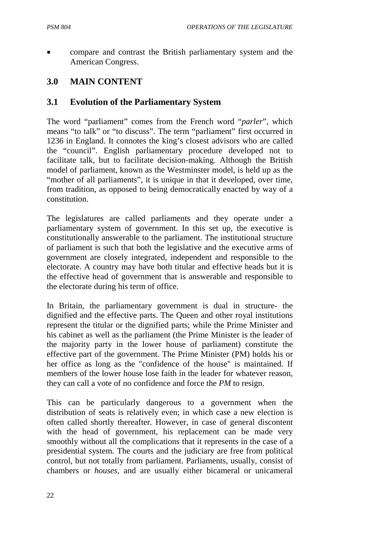• compare and contrast the British parliamentary system and the American Congress.

# **3.0 MAIN CONTENT**

#### **3.1 Evolution of the Parliamentary System**

The word "parliament" comes from the French word "*parler*", which means "to talk" or "to discuss". The term "parliament" first occurred in 1236 in England. It connotes the king's closest advisors who are called the "council". English parliamentary procedure developed not to facilitate talk, but to facilitate decision-making. Although the British model of parliament, known as the Westminster model, is held up as the "mother of all parliaments", it is unique in that it developed, over time, from tradition, as opposed to being democratically enacted by way of a constitution.

The legislatures are called parliaments and they operate under a parliamentary system of government. In this set up, the executive is constitutionally answerable to the parliament. The institutional structure of parliament is such that both the legislative and the executive arms of government are closely integrated, independent and responsible to the electorate. A country may have both titular and effective heads but it is the effective head of government that is answerable and responsible to the electorate during his term of office.

In Britain, the parliamentary government is dual in structure- the dignified and the effective parts. The Queen and other royal institutions represent the titular or the dignified parts; while the Prime Minister and his cabinet as well as the parliament (the Prime Minister is the leader of the majority party in the lower house of parliament) constitute the effective part of the government. The Prime Minister (PM) holds his or her office as long as the "confidence of the house" is maintained. If members of the lower house lose faith in the leader for whatever reason, they can call a vote of no confidence and force the *PM* to resign.

This can be particularly dangerous to a government when the distribution of seats is relatively even; in which case a new election is often called shortly thereafter. However, in case of general discontent with the head of government, his replacement can be made very smoothly without all the complications that it represents in the case of a presidential system. The courts and the judiciary are free from political control, but not totally from parliament. Parliaments, usually, consist of chambers or *houses*, and are usually either bicameral or unicameral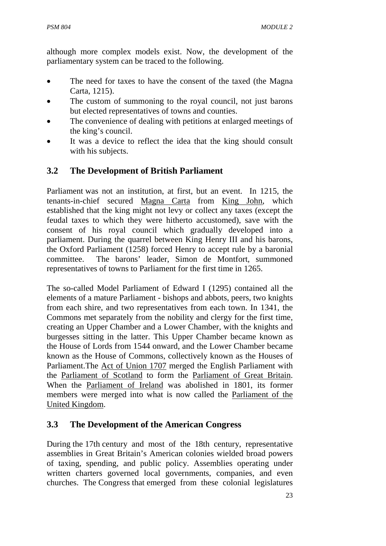although more complex models exist. Now, the development of the parliamentary system can be traced to the following.

- The need for taxes to have the consent of the taxed (the Magna Carta, 1215).
- The custom of summoning to the royal council, not just barons but elected representatives of towns and counties.
- The convenience of dealing with petitions at enlarged meetings of the king's council.
- It was a device to reflect the idea that the king should consult with his subjects.

# **3.2 The Development of British Parliament**

Parliament was not an institution, at first, but an event. In 1215, the tenants-in-chief secured Magna Carta from King John, which established that the king might not levy or collect any taxes (except the feudal taxes to which they were hitherto accustomed), save with the consent of his royal council which gradually developed into a parliament. During the quarrel between King Henry III and his barons, the Oxford Parliament (1258) forced Henry to accept rule by a baronial committee. The barons' leader, Simon de Montfort, summoned representatives of towns to Parliament for the first time in 1265.

The so-called Model Parliament of Edward I (1295) contained all the elements of a mature Parliament - bishops and abbots, peers, two knights from each shire, and two representatives from each town. In 1341, the Commons met separately from the nobility and clergy for the first time, creating an Upper Chamber and a Lower Chamber, with the knights and burgesses sitting in the latter. This Upper Chamber became known as the House of Lords from 1544 onward, and the Lower Chamber became known as the House of Commons, collectively known as the Houses of Parliament.The Act of Union 1707 merged the English Parliament with the Parliament of Scotland to form the Parliament of Great Britain. When the Parliament of Ireland was abolished in 1801, its former members were merged into what is now called the Parliament of the United Kingdom.

# **3.3 The Development of the American Congress**

During the 17th century and most of the 18th century, representative assemblies in Great Britain's American colonies wielded broad powers of taxing, spending, and public policy. Assemblies operating under written charters governed local governments, companies, and even churches. The Congress that emerged from these colonial legislatures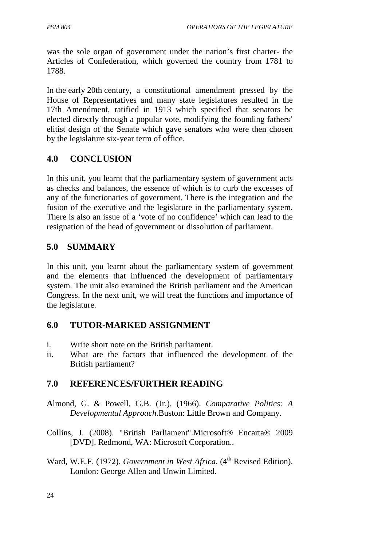was the sole organ of government under the nation's first charter- the Articles of Confederation, which governed the country from 1781 to 1788.

In the early 20th century, a constitutional amendment pressed by the House of Representatives and many state legislatures resulted in the 17th Amendment, ratified in 1913 which specified that senators be elected directly through a popular vote, modifying the founding fathers' elitist design of the Senate which gave senators who were then chosen by the legislature six-year term of office.

# **4.0 CONCLUSION**

In this unit, you learnt that the parliamentary system of government acts as checks and balances, the essence of which is to curb the excesses of any of the functionaries of government. There is the integration and the fusion of the executive and the legislature in the parliamentary system. There is also an issue of a 'vote of no confidence' which can lead to the resignation of the head of government or dissolution of parliament.

# **5.0 SUMMARY**

In this unit, you learnt about the parliamentary system of government and the elements that influenced the development of parliamentary system. The unit also examined the British parliament and the American Congress. In the next unit, we will treat the functions and importance of the legislature.

## **6.0 TUTOR-MARKED ASSIGNMENT**

- i. Write short note on the British parliament.
- ii. What are the factors that influenced the development of the British parliament?

## **7.0 REFERENCES/FURTHER READING**

- **A**lmond, G. & Powell, G.B. (Jr.). (1966). *Comparative Politics: A Developmental Approach*.Buston: Little Brown and Company.
- Collins, J. (2008). "British Parliament".Microsoft® Encarta® 2009 [DVD]. Redmond, WA: Microsoft Corporation..
- Ward, W.E.F. (1972). *Government in West Africa*. (4<sup>th</sup> Revised Edition). London: George Allen and Unwin Limited.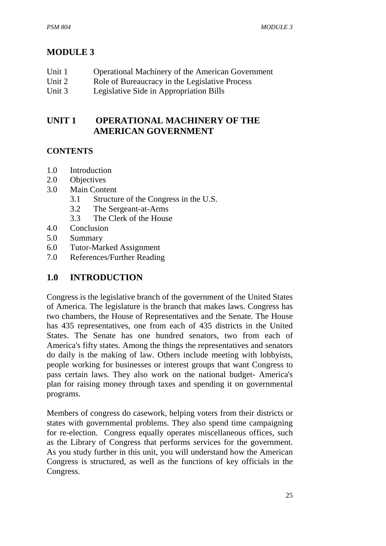# **MODULE 3**

| Unit 1 | <b>Operational Machinery of the American Government</b> |
|--------|---------------------------------------------------------|
|--------|---------------------------------------------------------|

- Unit 2 Role of Bureaucracy in the Legislative Process
- Unit 3 Legislative Side in Appropriation Bills

# **UNIT 1 OPERATIONAL MACHINERY OF THE AMERICAN GOVERNMENT**

#### **CONTENTS**

- 1.0 Introduction
- 2.0 Objectives
- 3.0 Main Content
	- 3.1 Structure of the Congress in the U.S.
	- 3.2 The Sergeant-at-Arms
	- 3.3 The Clerk of the House
- 4.0 Conclusion
- 5.0 Summary
- 6.0 Tutor-Marked Assignment
- 7.0 References/Further Reading

# **1.0 INTRODUCTION**

Congress is the legislative branch of the government of the United States of America. The legislature is the branch that makes laws. Congress has two chambers, the House of Representatives and the Senate. The House has 435 representatives, one from each of 435 districts in the United States. The Senate has one hundred senators, two from each of America's fifty states. Among the things the representatives and senators do daily is the making of law. Others include meeting with lobbyists, people working for businesses or interest groups that want Congress to pass certain laws. They also work on the national budget- America's plan for raising money through taxes and spending it on governmental programs.

Members of congress do casework, helping voters from their districts or states with governmental problems. They also spend time campaigning for re-election. Congress equally operates miscellaneous offices, such as the Library of Congress that performs services for the government. As you study further in this unit, you will understand how the American Congress is structured, as well as the functions of key officials in the Congress.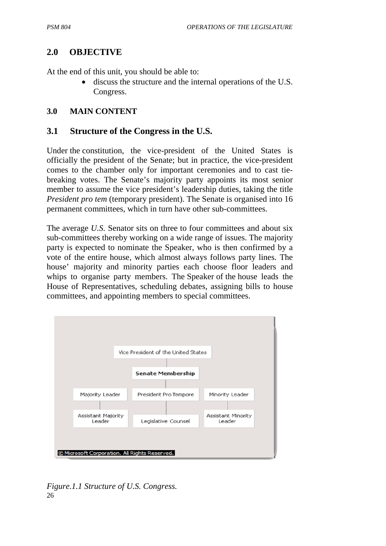## **2.0 OBJECTIVE**

At the end of this unit, you should be able to:

• discuss the structure and the internal operations of the U.S. Congress.

#### **3.0 MAIN CONTENT**

#### **3.1 Structure of the Congress in the U.S.**

Under the constitution, the vice-president of the United States is officially the president of the Senate; but in practice, the vice-president comes to the chamber only for important ceremonies and to cast tiebreaking votes. The Senate's majority party appoints its most senior member to assume the vice president's leadership duties, taking the title *President pro tem (temporary president). The Senate is organised into 16* permanent committees, which in turn have other sub-committees.

The average *U.S.* Senator sits on three to four committees and about six sub-committees thereby working on a wide range of issues. The majority party is expected to nominate the Speaker, who is then confirmed by a vote of the entire house, which almost always follows party lines. The house' majority and minority parties each choose floor leaders and whips to organise party members. The Speaker of the house leads the House of Representatives, scheduling debates, assigning bills to house committees, and appointing members to special committees.



26 *Figure.1.1 Structure of U.S. Congress.*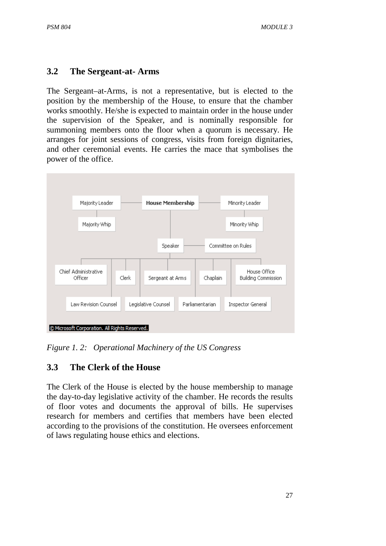## **3.2 The Sergeant-at- Arms**

The Sergeant–at-Arms, is not a representative, but is elected to the position by the membership of the House, to ensure that the chamber works smoothly. He/she is expected to maintain order in the house under the supervision of the Speaker, and is nominally responsible for summoning members onto the floor when a quorum is necessary. He arranges for joint sessions of congress, visits from foreign dignitaries, and other ceremonial events. He carries the mace that symbolises the power of the office.



*Figure 1. 2: Operational Machinery of the US Congress* 

# **3.3 The Clerk of the House**

The Clerk of the House is elected by the house membership to manage the day-to-day legislative activity of the chamber. He records the results of floor votes and documents the approval of bills. He supervises research for members and certifies that members have been elected according to the provisions of the constitution. He oversees enforcement of laws regulating house ethics and elections.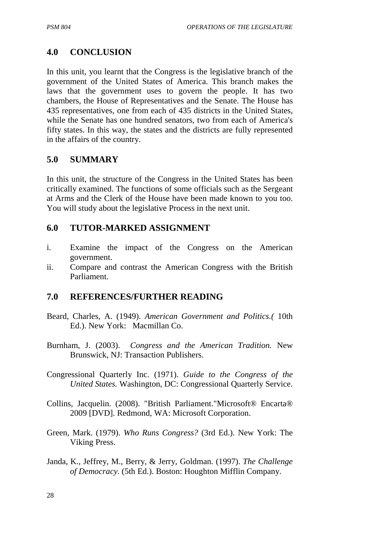# **4.0 CONCLUSION**

In this unit, you learnt that the Congress is the legislative branch of the government of the United States of America. This branch makes the laws that the government uses to govern the people. It has two chambers, the House of Representatives and the Senate. The House has 435 representatives, one from each of 435 districts in the United States, while the Senate has one hundred senators, two from each of America's fifty states. In this way, the states and the districts are fully represented in the affairs of the country.

#### **5.0 SUMMARY**

In this unit, the structure of the Congress in the United States has been critically examined. The functions of some officials such as the Sergeant at Arms and the Clerk of the House have been made known to you too. You will study about the legislative Process in the next unit.

#### **6.0 TUTOR-MARKED ASSIGNMENT**

- i. Examine the impact of the Congress on the American government.
- ii. Compare and contrast the American Congress with the British Parliament.

#### **7.0 REFERENCES/FURTHER READING**

- Beard, Charles, A. (1949). *American Government and Politics.(* 10th Ed.). New York: Macmillan Co.
- Burnham, J. (2003). *Congress and the American Tradition.* New Brunswick, NJ: Transaction Publishers.
- Congressional Quarterly Inc. (1971). *Guide to the Congress of the United States.* Washington, DC: Congressional Quarterly Service.
- Collins, Jacquelin. (2008). "British Parliament."Microsoft® Encarta® 2009 [DVD]. Redmond, WA: Microsoft Corporation.
- Green, Mark. (1979). *Who Runs Congress?* (3rd Ed.). New York: The Viking Press.
- Janda, K., Jeffrey, M., Berry, & Jerry, Goldman. (1997). *The Challenge of Democracy.* (5th Ed.). Boston: Houghton Mifflin Company.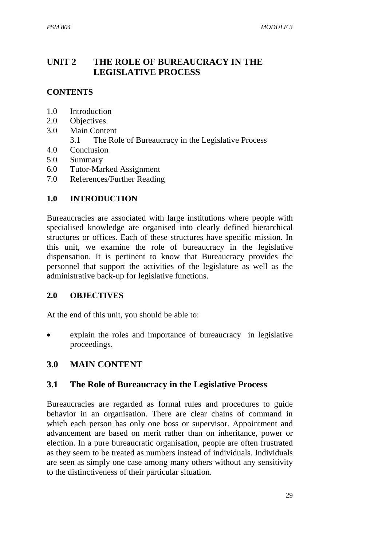# **UNIT 2 THE ROLE OF BUREAUCRACY IN THE LEGISLATIVE PROCESS**

## **CONTENTS**

- 1.0 Introduction
- 2.0 Objectives
- 3.0 Main Content
	- 3.1 The Role of Bureaucracy in the Legislative Process
- 4.0 Conclusion
- 5.0 Summary
- 6.0 Tutor-Marked Assignment
- 7.0 References/Further Reading

#### **1.0 INTRODUCTION**

Bureaucracies are associated with large institutions where people with specialised knowledge are organised into clearly defined hierarchical structures or offices. Each of these structures have specific mission. In this unit, we examine the role of bureaucracy in the legislative dispensation. It is pertinent to know that Bureaucracy provides the personnel that support the activities of the legislature as well as the administrative back-up for legislative functions.

#### **2.0 OBJECTIVES**

At the end of this unit, you should be able to:

• explain the roles and importance of bureaucracy in legislative proceedings.

#### **3.0 MAIN CONTENT**

#### **3.1 The Role of Bureaucracy in the Legislative Process**

Bureaucracies are regarded as formal rules and procedures to guide behavior in an organisation. There are clear chains of command in which each person has only one boss or supervisor. Appointment and advancement are based on merit rather than on inheritance, power or election. In a pure bureaucratic organisation, people are often frustrated as they seem to be treated as numbers instead of individuals. Individuals are seen as simply one case among many others without any sensitivity to the distinctiveness of their particular situation.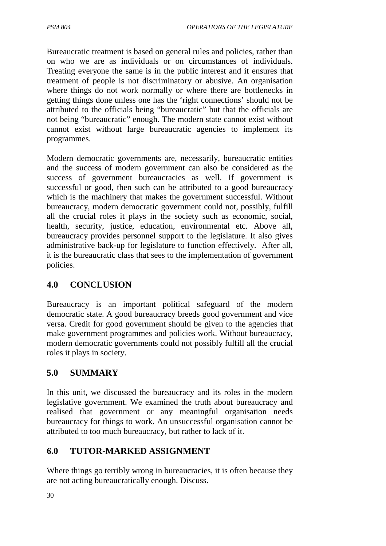Bureaucratic treatment is based on general rules and policies, rather than on who we are as individuals or on circumstances of individuals. Treating everyone the same is in the public interest and it ensures that treatment of people is not discriminatory or abusive. An organisation where things do not work normally or where there are bottlenecks in getting things done unless one has the 'right connections' should not be attributed to the officials being "bureaucratic" but that the officials are not being "bureaucratic" enough. The modern state cannot exist without cannot exist without large bureaucratic agencies to implement its programmes.

Modern democratic governments are, necessarily, bureaucratic entities and the success of modern government can also be considered as the success of government bureaucracies as well. If government is successful or good, then such can be attributed to a good bureaucracy which is the machinery that makes the government successful. Without bureaucracy, modern democratic government could not, possibly, fulfill all the crucial roles it plays in the society such as economic, social, health, security, justice, education, environmental etc. Above all, bureaucracy provides personnel support to the legislature. It also gives administrative back-up for legislature to function effectively. After all, it is the bureaucratic class that sees to the implementation of government policies.

## **4.0 CONCLUSION**

Bureaucracy is an important political safeguard of the modern democratic state. A good bureaucracy breeds good government and vice versa. Credit for good government should be given to the agencies that make government programmes and policies work. Without bureaucracy, modern democratic governments could not possibly fulfill all the crucial roles it plays in society.

## **5.0 SUMMARY**

In this unit, we discussed the bureaucracy and its roles in the modern legislative government. We examined the truth about bureaucracy and realised that government or any meaningful organisation needs bureaucracy for things to work. An unsuccessful organisation cannot be attributed to too much bureaucracy, but rather to lack of it.

## **6.0 TUTOR-MARKED ASSIGNMENT**

Where things go terribly wrong in bureaucracies, it is often because they are not acting bureaucratically enough. Discuss.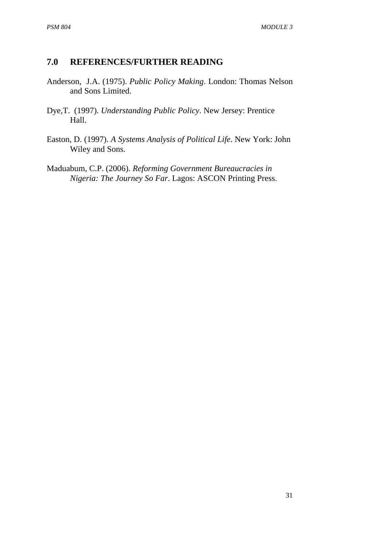# **7.0 REFERENCES/FURTHER READING**

- Anderson, J.A. (1975). *Public Policy Making*. London: Thomas Nelson and Sons Limited.
- Dye,T. (1997). *Understanding Public Policy*. New Jersey: Prentice Hall.
- Easton, D. (1997). *A Systems Analysis of Political Life*. New York: John Wiley and Sons.
- Maduabum, C.P. (2006). *Reforming Government Bureaucracies in Nigeria: The Journey So Far*. Lagos: ASCON Printing Press.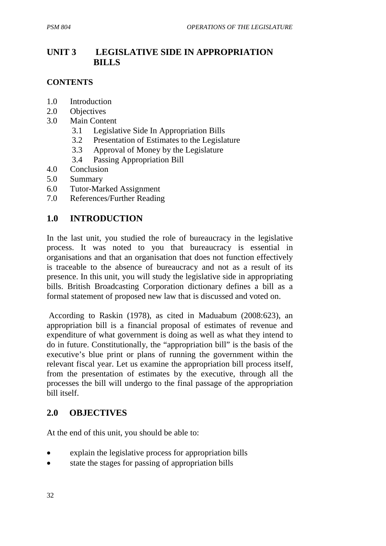# **UNIT 3 LEGISLATIVE SIDE IN APPROPRIATION BILLS**

#### **CONTENTS**

- 1.0 Introduction
- 2.0 Objectives
- 3.0 Main Content
	- 3.1 Legislative Side In Appropriation Bills
	- 3.2 Presentation of Estimates to the Legislature
	- 3.3 Approval of Money by the Legislature
	- 3.4 Passing Appropriation Bill
- 4.0 Conclusion
- 5.0 Summary
- 6.0 Tutor-Marked Assignment
- 7.0 References/Further Reading

#### **1.0 INTRODUCTION**

In the last unit, you studied the role of bureaucracy in the legislative process. It was noted to you that bureaucracy is essential in organisations and that an organisation that does not function effectively is traceable to the absence of bureaucracy and not as a result of its presence. In this unit, you will study the legislative side in appropriating bills. British Broadcasting Corporation dictionary defines a bill as a formal statement of proposed new law that is discussed and voted on.

 According to Raskin (1978), as cited in Maduabum (2008:623), an appropriation bill is a financial proposal of estimates of revenue and expenditure of what government is doing as well as what they intend to do in future. Constitutionally, the "appropriation bill" is the basis of the executive's blue print or plans of running the government within the relevant fiscal year. Let us examine the appropriation bill process itself, from the presentation of estimates by the executive, through all the processes the bill will undergo to the final passage of the appropriation bill itself.

## **2.0 OBJECTIVES**

At the end of this unit, you should be able to:

- explain the legislative process for appropriation bills
- state the stages for passing of appropriation bills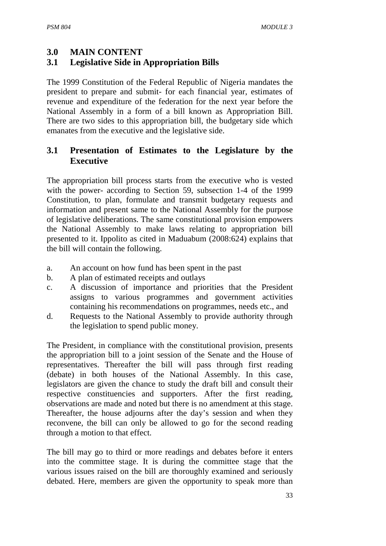#### **3.0 MAIN CONTENT**

# **3.1 Legislative Side in Appropriation Bills**

The 1999 Constitution of the Federal Republic of Nigeria mandates the president to prepare and submit- for each financial year, estimates of revenue and expenditure of the federation for the next year before the National Assembly in a form of a bill known as Appropriation Bill. There are two sides to this appropriation bill, the budgetary side which emanates from the executive and the legislative side.

## **3.1 Presentation of Estimates to the Legislature by the Executive**

The appropriation bill process starts from the executive who is vested with the power- according to Section 59, subsection 1-4 of the 1999 Constitution, to plan, formulate and transmit budgetary requests and information and present same to the National Assembly for the purpose of legislative deliberations. The same constitutional provision empowers the National Assembly to make laws relating to appropriation bill presented to it. Ippolito as cited in Maduabum (2008:624) explains that the bill will contain the following.

- a. An account on how fund has been spent in the past
- b. A plan of estimated receipts and outlays
- c. A discussion of importance and priorities that the President assigns to various programmes and government activities containing his recommendations on programmes, needs etc., and
- d. Requests to the National Assembly to provide authority through the legislation to spend public money.

The President, in compliance with the constitutional provision, presents the appropriation bill to a joint session of the Senate and the House of representatives. Thereafter the bill will pass through first reading (debate) in both houses of the National Assembly. In this case, legislators are given the chance to study the draft bill and consult their respective constituencies and supporters. After the first reading, observations are made and noted but there is no amendment at this stage. Thereafter, the house adjourns after the day's session and when they reconvene, the bill can only be allowed to go for the second reading through a motion to that effect.

The bill may go to third or more readings and debates before it enters into the committee stage. It is during the committee stage that the various issues raised on the bill are thoroughly examined and seriously debated. Here, members are given the opportunity to speak more than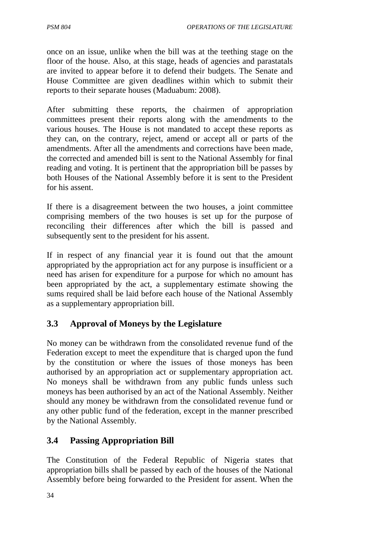once on an issue, unlike when the bill was at the teething stage on the floor of the house. Also, at this stage, heads of agencies and parastatals are invited to appear before it to defend their budgets. The Senate and House Committee are given deadlines within which to submit their reports to their separate houses (Maduabum: 2008).

After submitting these reports, the chairmen of appropriation committees present their reports along with the amendments to the various houses. The House is not mandated to accept these reports as they can, on the contrary, reject, amend or accept all or parts of the amendments. After all the amendments and corrections have been made, the corrected and amended bill is sent to the National Assembly for final reading and voting. It is pertinent that the appropriation bill be passes by both Houses of the National Assembly before it is sent to the President for his assent.

If there is a disagreement between the two houses, a joint committee comprising members of the two houses is set up for the purpose of reconciling their differences after which the bill is passed and subsequently sent to the president for his assent.

If in respect of any financial year it is found out that the amount appropriated by the appropriation act for any purpose is insufficient or a need has arisen for expenditure for a purpose for which no amount has been appropriated by the act, a supplementary estimate showing the sums required shall be laid before each house of the National Assembly as a supplementary appropriation bill.

# **3.3 Approval of Moneys by the Legislature**

No money can be withdrawn from the consolidated revenue fund of the Federation except to meet the expenditure that is charged upon the fund by the constitution or where the issues of those moneys has been authorised by an appropriation act or supplementary appropriation act. No moneys shall be withdrawn from any public funds unless such moneys has been authorised by an act of the National Assembly. Neither should any money be withdrawn from the consolidated revenue fund or any other public fund of the federation, except in the manner prescribed by the National Assembly.

## **3.4 Passing Appropriation Bill**

The Constitution of the Federal Republic of Nigeria states that appropriation bills shall be passed by each of the houses of the National Assembly before being forwarded to the President for assent. When the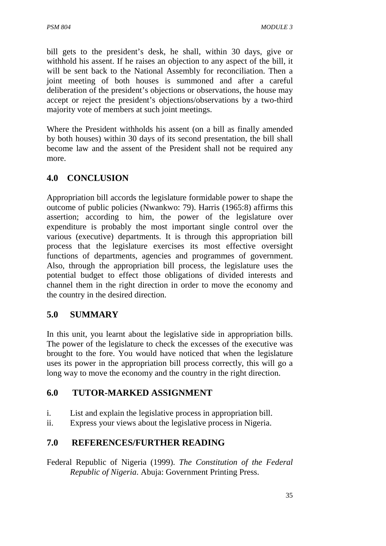bill gets to the president's desk, he shall, within 30 days, give or withhold his assent. If he raises an objection to any aspect of the bill, it will be sent back to the National Assembly for reconciliation. Then a joint meeting of both houses is summoned and after a careful deliberation of the president's objections or observations, the house may accept or reject the president's objections/observations by a two-third majority vote of members at such joint meetings.

Where the President withholds his assent (on a bill as finally amended by both houses) within 30 days of its second presentation, the bill shall become law and the assent of the President shall not be required any more.

# **4.0 CONCLUSION**

Appropriation bill accords the legislature formidable power to shape the outcome of public policies (Nwankwo: 79). Harris (1965:8) affirms this assertion; according to him, the power of the legislature over expenditure is probably the most important single control over the various (executive) departments. It is through this appropriation bill process that the legislature exercises its most effective oversight functions of departments, agencies and programmes of government. Also, through the appropriation bill process, the legislature uses the potential budget to effect those obligations of divided interests and channel them in the right direction in order to move the economy and the country in the desired direction.

## **5.0 SUMMARY**

In this unit, you learnt about the legislative side in appropriation bills. The power of the legislature to check the excesses of the executive was brought to the fore. You would have noticed that when the legislature uses its power in the appropriation bill process correctly, this will go a long way to move the economy and the country in the right direction.

#### **6.0 TUTOR-MARKED ASSIGNMENT**

- i. List and explain the legislative process in appropriation bill.
- ii. Express your views about the legislative process in Nigeria.

## **7.0 REFERENCES/FURTHER READING**

Federal Republic of Nigeria (1999). *The Constitution of the Federal Republic of Nigeria*. Abuja: Government Printing Press.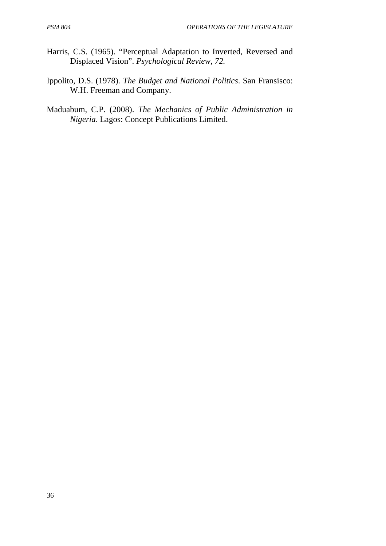- Harris, C.S. (1965). "Perceptual Adaptation to Inverted, Reversed and Displaced Vision". *Psychological Review, 72.*
- Ippolito, D.S. (1978). *The Budget and National Politics*. San Fransisco: W.H. Freeman and Company.
- Maduabum, C.P. (2008). *The Mechanics of Public Administration in Nigeria*. Lagos: Concept Publications Limited.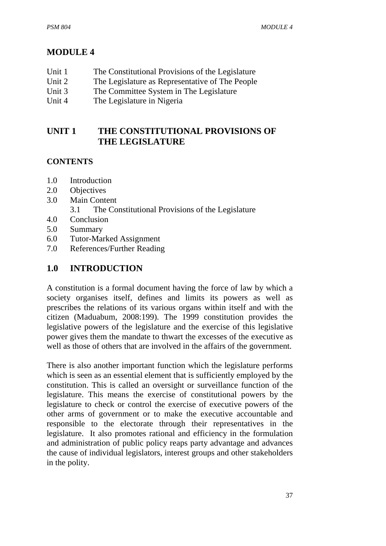# **MODULE 4**

| Unit 1 | The Constitutional Provisions of the Legislature |
|--------|--------------------------------------------------|
| Unit 2 | The Legislature as Representative of The People  |

- Unit 3 The Committee System in The Legislature
- 
- Unit 4 The Legislature in Nigeria

#### **UNIT 1 THE CONSTITUTIONAL PROVISIONS OF THE LEGISLATURE**

#### **CONTENTS**

- 1.0 Introduction
- 2.0 Objectives
- 3.0 Main Content
	- 3.1 The Constitutional Provisions of the Legislature
- 4.0 Conclusion
- 5.0 Summary
- 6.0 Tutor-Marked Assignment
- 7.0 References/Further Reading

## **1.0 INTRODUCTION**

A constitution is a formal document having the force of law by which a society organises itself, defines and limits its powers as well as prescribes the relations of its various organs within itself and with the citizen (Maduabum, 2008:199). The 1999 constitution provides the legislative powers of the legislature and the exercise of this legislative power gives them the mandate to thwart the excesses of the executive as well as those of others that are involved in the affairs of the government.

There is also another important function which the legislature performs which is seen as an essential element that is sufficiently employed by the constitution. This is called an oversight or surveillance function of the legislature. This means the exercise of constitutional powers by the legislature to check or control the exercise of executive powers of the other arms of government or to make the executive accountable and responsible to the electorate through their representatives in the legislature. It also promotes rational and efficiency in the formulation and administration of public policy reaps party advantage and advances the cause of individual legislators, interest groups and other stakeholders in the polity.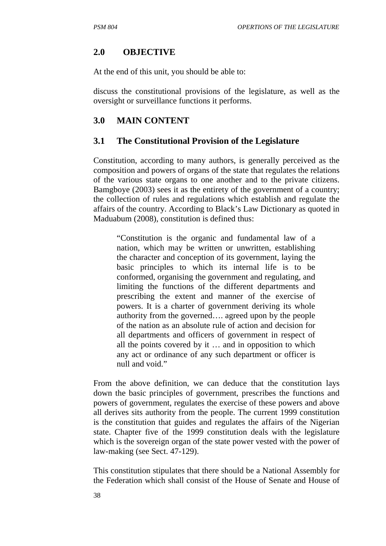## **2.0 OBJECTIVE**

At the end of this unit, you should be able to:

discuss the constitutional provisions of the legislature, as well as the oversight or surveillance functions it performs.

#### **3.0 MAIN CONTENT**

#### **3.1 The Constitutional Provision of the Legislature**

Constitution, according to many authors, is generally perceived as the composition and powers of organs of the state that regulates the relations of the various state organs to one another and to the private citizens. Bamgboye (2003) sees it as the entirety of the government of a country; the collection of rules and regulations which establish and regulate the affairs of the country. According to Black's Law Dictionary as quoted in Maduabum (2008), constitution is defined thus:

"Constitution is the organic and fundamental law of a nation, which may be written or unwritten, establishing the character and conception of its government, laying the basic principles to which its internal life is to be conformed, organising the government and regulating, and limiting the functions of the different departments and prescribing the extent and manner of the exercise of powers. It is a charter of government deriving its whole authority from the governed…. agreed upon by the people of the nation as an absolute rule of action and decision for all departments and officers of government in respect of all the points covered by it … and in opposition to which any act or ordinance of any such department or officer is null and void."

From the above definition, we can deduce that the constitution lays down the basic principles of government, prescribes the functions and powers of government, regulates the exercise of these powers and above all derives sits authority from the people. The current 1999 constitution is the constitution that guides and regulates the affairs of the Nigerian state. Chapter five of the 1999 constitution deals with the legislature which is the sovereign organ of the state power vested with the power of law-making (see Sect. 47-129).

This constitution stipulates that there should be a National Assembly for the Federation which shall consist of the House of Senate and House of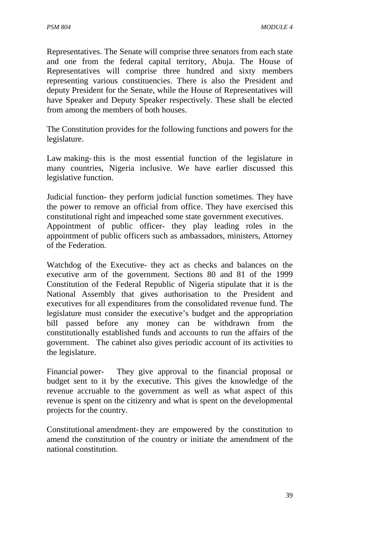Representatives. The Senate will comprise three senators from each state and one from the federal capital territory, Abuja. The House of Representatives will comprise three hundred and sixty members representing various constituencies. There is also the President and deputy President for the Senate, while the House of Representatives will have Speaker and Deputy Speaker respectively. These shall be elected from among the members of both houses.

The Constitution provides for the following functions and powers for the legislature.

Law making- this is the most essential function of the legislature in many countries, Nigeria inclusive. We have earlier discussed this legislative function.

Judicial function- they perform judicial function sometimes. They have the power to remove an official from office. They have exercised this constitutional right and impeached some state government executives. Appointment of public officer- they play leading roles in the appointment of public officers such as ambassadors, ministers, Attorney of the Federation.

Watchdog of the Executive- they act as checks and balances on the executive arm of the government. Sections 80 and 81 of the 1999 Constitution of the Federal Republic of Nigeria stipulate that it is the National Assembly that gives authorisation to the President and executives for all expenditures from the consolidated revenue fund. The legislature must consider the executive's budget and the appropriation bill passed before any money can be withdrawn from the constitutionally established funds and accounts to run the affairs of the government. The cabinet also gives periodic account of its activities to the legislature.

Financial power- They give approval to the financial proposal or budget sent to it by the executive. This gives the knowledge of the revenue accruable to the government as well as what aspect of this revenue is spent on the citizenry and what is spent on the developmental projects for the country.

Constitutional amendment- they are empowered by the constitution to amend the constitution of the country or initiate the amendment of the national constitution.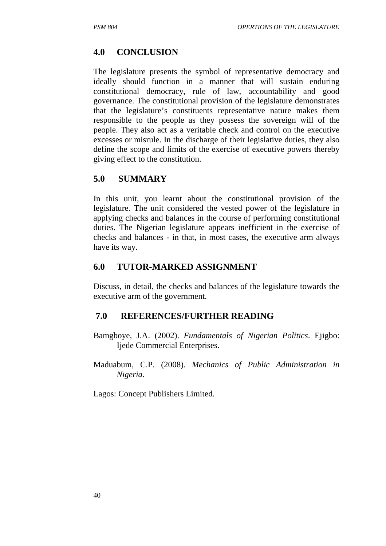# **4.0 CONCLUSION**

The legislature presents the symbol of representative democracy and ideally should function in a manner that will sustain enduring constitutional democracy, rule of law, accountability and good governance. The constitutional provision of the legislature demonstrates that the legislature's constituents representative nature makes them responsible to the people as they possess the sovereign will of the people. They also act as a veritable check and control on the executive excesses or misrule. In the discharge of their legislative duties, they also define the scope and limits of the exercise of executive powers thereby giving effect to the constitution.

## **5.0 SUMMARY**

In this unit, you learnt about the constitutional provision of the legislature. The unit considered the vested power of the legislature in applying checks and balances in the course of performing constitutional duties. The Nigerian legislature appears inefficient in the exercise of checks and balances - in that, in most cases, the executive arm always have its way.

## **6.0 TUTOR-MARKED ASSIGNMENT**

Discuss, in detail, the checks and balances of the legislature towards the executive arm of the government.

## **7.0 REFERENCES/FURTHER READING**

- Bamgboye, J.A. (2002). *Fundamentals of Nigerian Politics*. Ejigbo: Ijede Commercial Enterprises.
- Maduabum, C.P. (2008). *Mechanics of Public Administration in Nigeria*.

Lagos: Concept Publishers Limited.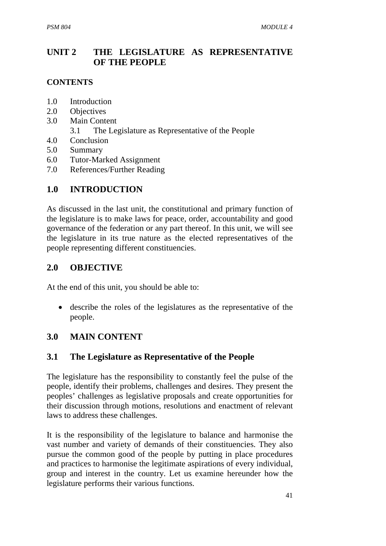# **UNIT 2 THE LEGISLATURE AS REPRESENTATIVE OF THE PEOPLE**

#### **CONTENTS**

- 1.0 Introduction
- 2.0 Objectives
- 3.0 Main Content
	- 3.1 The Legislature as Representative of the People
- 4.0 Conclusion
- 5.0 Summary
- 6.0 Tutor-Marked Assignment
- 7.0 References/Further Reading

# **1.0 INTRODUCTION**

As discussed in the last unit, the constitutional and primary function of the legislature is to make laws for peace, order, accountability and good governance of the federation or any part thereof. In this unit, we will see the legislature in its true nature as the elected representatives of the people representing different constituencies.

# **2.0 OBJECTIVE**

At the end of this unit, you should be able to:

• describe the roles of the legislatures as the representative of the people.

# **3.0 MAIN CONTENT**

## **3.1 The Legislature as Representative of the People**

The legislature has the responsibility to constantly feel the pulse of the people, identify their problems, challenges and desires. They present the peoples' challenges as legislative proposals and create opportunities for their discussion through motions, resolutions and enactment of relevant laws to address these challenges.

It is the responsibility of the legislature to balance and harmonise the vast number and variety of demands of their constituencies. They also pursue the common good of the people by putting in place procedures and practices to harmonise the legitimate aspirations of every individual, group and interest in the country. Let us examine hereunder how the legislature performs their various functions.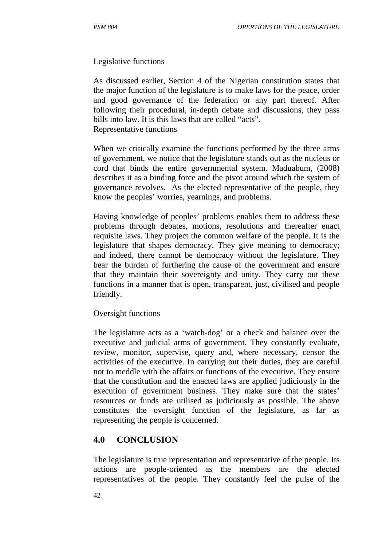#### Legislative functions

As discussed earlier, Section 4 of the Nigerian constitution states that the major function of the legislature is to make laws for the peace, order and good governance of the federation or any part thereof. After following their procedural, in-depth debate and discussions, they pass bills into law. It is this laws that are called "acts". Representative functions

When we critically examine the functions performed by the three arms of government, we notice that the legislature stands out as the nucleus or cord that binds the entire governmental system. Maduabum, (2008) describes it as a binding force and the pivot around which the system of governance revolves. As the elected representative of the people, they know the peoples' worries, yearnings, and problems.

Having knowledge of peoples' problems enables them to address these problems through debates, motions, resolutions and thereafter enact requisite laws. They project the common welfare of the people. It is the legislature that shapes democracy. They give meaning to democracy; and indeed, there cannot be democracy without the legislature. They bear the burden of furthering the cause of the government and ensure that they maintain their sovereignty and unity. They carry out these functions in a manner that is open, transparent, just, civilised and people friendly.

#### Oversight functions

The legislature acts as a 'watch-dog' or a check and balance over the executive and judicial arms of government. They constantly evaluate, review, monitor, supervise, query and, where necessary, censor the activities of the executive. In carrying out their duties, they are careful not to meddle with the affairs or functions of the executive. They ensure that the constitution and the enacted laws are applied judiciously in the execution of government business. They make sure that the states' resources or funds are utilised as judiciously as possible. The above constitutes the oversight function of the legislature, as far as representing the people is concerned.

#### **4.0 CONCLUSION**

The legislature is true representation and representative of the people. Its actions are people-oriented as the members are the elected representatives of the people. They constantly feel the pulse of the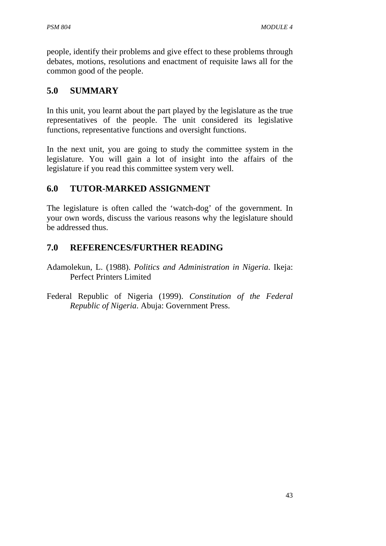people, identify their problems and give effect to these problems through debates, motions, resolutions and enactment of requisite laws all for the common good of the people.

## **5.0 SUMMARY**

In this unit, you learnt about the part played by the legislature as the true representatives of the people. The unit considered its legislative functions, representative functions and oversight functions.

In the next unit, you are going to study the committee system in the legislature. You will gain a lot of insight into the affairs of the legislature if you read this committee system very well.

## **6.0 TUTOR-MARKED ASSIGNMENT**

The legislature is often called the 'watch-dog' of the government. In your own words, discuss the various reasons why the legislature should be addressed thus.

## **7.0 REFERENCES/FURTHER READING**

- Adamolekun, L. (1988). *Politics and Administration in Nigeria*. Ikeja: Perfect Printers Limited
- Federal Republic of Nigeria (1999). *Constitution of the Federal Republic of Nigeria*. Abuja: Government Press.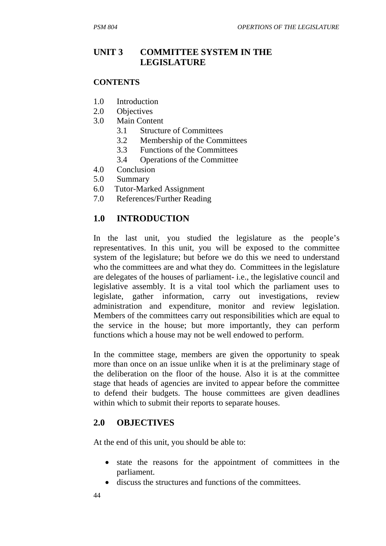# **UNIT 3 COMMITTEE SYSTEM IN THE LEGISLATURE**

#### **CONTENTS**

- 1.0 Introduction
- 2.0 Objectives
- 3.0 Main Content
	- 3.1 Structure of Committees
	- 3.2 Membership of the Committees
	- 3.3 Functions of the Committees
	- 3.4 Operations of the Committee
- 4.0 Conclusion
- 5.0 Summary
- 6.0 Tutor-Marked Assignment
- 7.0 References/Further Reading

#### **1.0 INTRODUCTION**

In the last unit, you studied the legislature as the people's representatives. In this unit, you will be exposed to the committee system of the legislature; but before we do this we need to understand who the committees are and what they do. Committees in the legislature are delegates of the houses of parliament- i.e., the legislative council and legislative assembly. It is a vital tool which the parliament uses to legislate, gather information, carry out investigations, review administration and expenditure, monitor and review legislation. Members of the committees carry out responsibilities which are equal to the service in the house; but more importantly, they can perform functions which a house may not be well endowed to perform.

In the committee stage, members are given the opportunity to speak more than once on an issue unlike when it is at the preliminary stage of the deliberation on the floor of the house. Also it is at the committee stage that heads of agencies are invited to appear before the committee to defend their budgets. The house committees are given deadlines within which to submit their reports to separate houses.

#### **2.0 OBJECTIVES**

At the end of this unit, you should be able to:

- state the reasons for the appointment of committees in the parliament.
- discuss the structures and functions of the committees.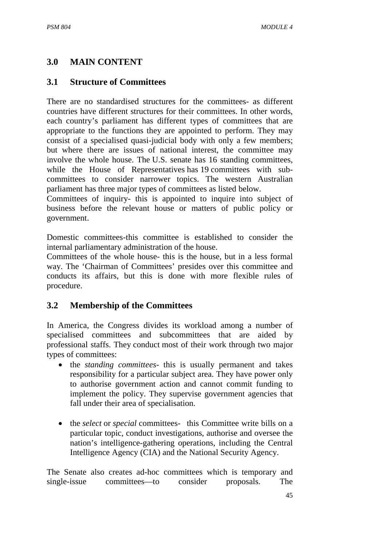# **3.0 MAIN CONTENT**

#### **3.1 Structure of Committees**

There are no standardised structures for the committees- as different countries have different structures for their committees. In other words, each country's parliament has different types of committees that are appropriate to the functions they are appointed to perform. They may consist of a specialised quasi-judicial body with only a few members; but where there are issues of national interest, the committee may involve the whole house. The U.S. senate has 16 standing committees, while the House of Representatives has 19 committees with subcommittees to consider narrower topics. The western Australian parliament has three major types of committees as listed below.

Committees of inquiry- this is appointed to inquire into subject of business before the relevant house or matters of public policy or government.

Domestic committees-this committee is established to consider the internal parliamentary administration of the house.

Committees of the whole house- this is the house, but in a less formal way. The 'Chairman of Committees' presides over this committee and conducts its affairs, but this is done with more flexible rules of procedure.

## **3.2 Membership of the Committees**

In America, the Congress divides its workload among a number of specialised committees and subcommittees that are aided by professional staffs. They conduct most of their work through two major types of committees:

- the *standing committees* this is usually permanent and takes responsibility for a particular subject area. They have power only to authorise government action and cannot commit funding to implement the policy. They supervise government agencies that fall under their area of specialisation.
- the *select* or *special* committees- this Committee write bills on a particular topic, conduct investigations, authorise and oversee the nation's intelligence-gathering operations, including the Central Intelligence Agency (CIA) and the National Security Agency.

The Senate also creates ad-hoc committees which is temporary and single-issue committees—to consider proposals. The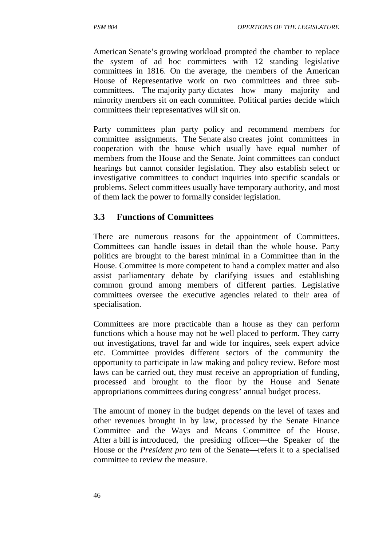American Senate's growing workload prompted the chamber to replace the system of ad hoc committees with 12 standing legislative committees in 1816. On the average, the members of the American House of Representative work on two committees and three subcommittees. The majority party dictates how many majority and minority members sit on each committee. Political parties decide which committees their representatives will sit on.

Party committees plan party policy and recommend members for committee assignments. The Senate also creates joint committees in cooperation with the house which usually have equal number of members from the House and the Senate. Joint committees can conduct hearings but cannot consider legislation. They also establish select or investigative committees to conduct inquiries into specific scandals or problems. Select committees usually have temporary authority, and most of them lack the power to formally consider legislation.

## **3.3 Functions of Committees**

There are numerous reasons for the appointment of Committees. Committees can handle issues in detail than the whole house. Party politics are brought to the barest minimal in a Committee than in the House. Committee is more competent to hand a complex matter and also assist parliamentary debate by clarifying issues and establishing common ground among members of different parties. Legislative committees oversee the executive agencies related to their area of specialisation.

Committees are more practicable than a house as they can perform functions which a house may not be well placed to perform. They carry out investigations, travel far and wide for inquires, seek expert advice etc. Committee provides different sectors of the community the opportunity to participate in law making and policy review. Before most laws can be carried out, they must receive an appropriation of funding, processed and brought to the floor by the House and Senate appropriations committees during congress' annual budget process.

The amount of money in the budget depends on the level of taxes and other revenues brought in by law, processed by the Senate Finance Committee and the Ways and Means Committee of the House. After a bill is introduced, the presiding officer—the Speaker of the House or the *President pro tem* of the Senate—refers it to a specialised committee to review the measure.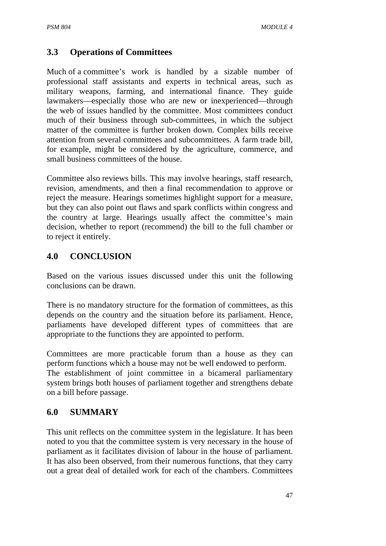## **3.3 Operations of Committees**

Much of a committee's work is handled by a sizable number of professional staff assistants and experts in technical areas, such as military weapons, farming, and international finance. They guide lawmakers—especially those who are new or inexperienced—through the web of issues handled by the committee. Most committees conduct much of their business through sub-committees, in which the subject matter of the committee is further broken down. Complex bills receive attention from several committees and subcommittees. A farm trade bill, for example, might be considered by the agriculture, commerce, and small business committees of the house.

Committee also reviews bills. This may involve hearings, staff research, revision, amendments, and then a final recommendation to approve or reject the measure. Hearings sometimes highlight support for a measure, but they can also point out flaws and spark conflicts within congress and the country at large. Hearings usually affect the committee's main decision, whether to report (recommend) the bill to the full chamber or to reject it entirely.

## **4.0 CONCLUSION**

Based on the various issues discussed under this unit the following conclusions can be drawn.

There is no mandatory structure for the formation of committees, as this depends on the country and the situation before its parliament. Hence, parliaments have developed different types of committees that are appropriate to the functions they are appointed to perform.

Committees are more practicable forum than a house as they can perform functions which a house may not be well endowed to perform. The establishment of joint committee in a bicameral parliamentary system brings both houses of parliament together and strengthens debate on a bill before passage.

## **6.0 SUMMARY**

This unit reflects on the committee system in the legislature. It has been noted to you that the committee system is very necessary in the house of parliament as it facilitates division of labour in the house of parliament. It has also been observed, from their numerous functions, that they carry out a great deal of detailed work for each of the chambers. Committees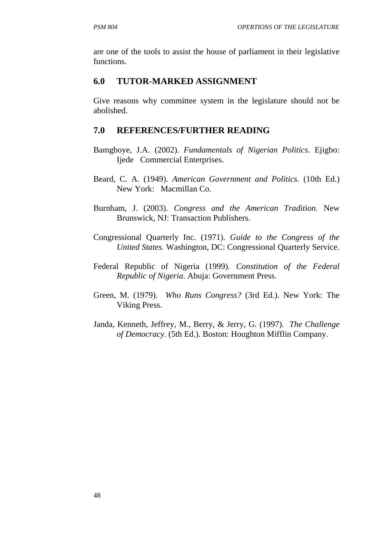are one of the tools to assist the house of parliament in their legislative functions.

#### **6.0 TUTOR-MARKED ASSIGNMENT**

Give reasons why committee system in the legislature should not be abolished.

#### **7.0 REFERENCES/FURTHER READING**

- Bamgboye, J.A. (2002). *Fundamentals of Nigerian Politics*. Ejigbo: Ijede Commercial Enterprises.
- Beard, C. A. (1949). *American Government and Politics.* (10th Ed.) New York: Macmillan Co.
- Burnham, J. (2003). *Congress and the American Tradition.* New Brunswick, NJ: Transaction Publishers.
- Congressional Quarterly Inc. (1971). *Guide to the Congress of the United States.* Washington, DC: Congressional Quarterly Service.
- Federal Republic of Nigeria (1999). *Constitution of the Federal Republic of Nigeria*. Abuja: Government Press.
- Green, M. (1979). *Who Runs Congress?* (3rd Ed.). New York: The Viking Press.
- Janda, Kenneth, Jeffrey, M., Berry, & Jerry, G. (1997). *The Challenge of Democracy.* (5th Ed.). Boston: Houghton Mifflin Company.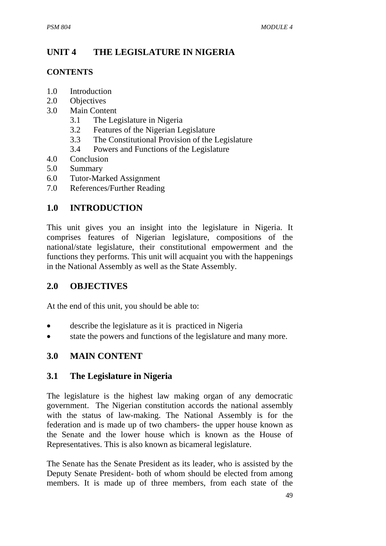# **UNIT 4 THE LEGISLATURE IN NIGERIA**

#### **CONTENTS**

- 1.0 Introduction
- 2.0 Objectives
- 3.0 Main Content
	- 3.1 The Legislature in Nigeria
	- 3.2 Features of the Nigerian Legislature
	- 3.3 The Constitutional Provision of the Legislature
	- 3.4 Powers and Functions of the Legislature
- 4.0 Conclusion
- 5.0 Summary
- 6.0 Tutor-Marked Assignment
- 7.0 References/Further Reading

# **1.0 INTRODUCTION**

This unit gives you an insight into the legislature in Nigeria. It comprises features of Nigerian legislature, compositions of the national/state legislature, their constitutional empowerment and the functions they performs. This unit will acquaint you with the happenings in the National Assembly as well as the State Assembly.

## **2.0 OBJECTIVES**

At the end of this unit, you should be able to:

- describe the legislature as it is practiced in Nigeria
- state the powers and functions of the legislature and many more.

## **3.0 MAIN CONTENT**

## **3.1 The Legislature in Nigeria**

The legislature is the highest law making organ of any democratic government. The Nigerian constitution accords the national assembly with the status of law-making. The National Assembly is for the federation and is made up of two chambers- the upper house known as the Senate and the lower house which is known as the House of Representatives. This is also known as bicameral legislature.

The Senate has the Senate President as its leader, who is assisted by the Deputy Senate President- both of whom should be elected from among members. It is made up of three members, from each state of the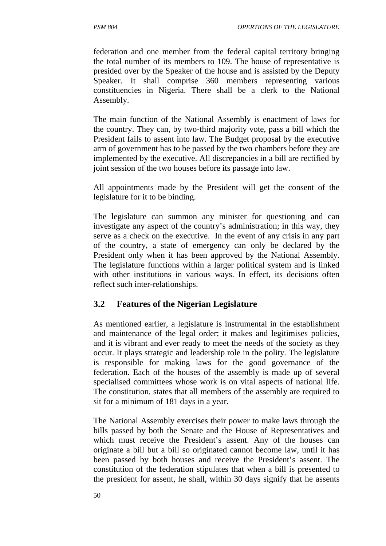federation and one member from the federal capital territory bringing the total number of its members to 109. The house of representative is presided over by the Speaker of the house and is assisted by the Deputy Speaker. It shall comprise 360 members representing various constituencies in Nigeria. There shall be a clerk to the National Assembly.

The main function of the National Assembly is enactment of laws for the country. They can, by two-third majority vote, pass a bill which the President fails to assent into law. The Budget proposal by the executive arm of government has to be passed by the two chambers before they are implemented by the executive. All discrepancies in a bill are rectified by joint session of the two houses before its passage into law.

All appointments made by the President will get the consent of the legislature for it to be binding.

The legislature can summon any minister for questioning and can investigate any aspect of the country's administration; in this way, they serve as a check on the executive. In the event of any crisis in any part of the country, a state of emergency can only be declared by the President only when it has been approved by the National Assembly. The legislature functions within a larger political system and is linked with other institutions in various ways. In effect, its decisions often reflect such inter-relationships.

## **3.2 Features of the Nigerian Legislature**

As mentioned earlier, a legislature is instrumental in the establishment and maintenance of the legal order; it makes and legitimises policies, and it is vibrant and ever ready to meet the needs of the society as they occur. It plays strategic and leadership role in the polity. The legislature is responsible for making laws for the good governance of the federation. Each of the houses of the assembly is made up of several specialised committees whose work is on vital aspects of national life. The constitution, states that all members of the assembly are required to sit for a minimum of 181 days in a year.

The National Assembly exercises their power to make laws through the bills passed by both the Senate and the House of Representatives and which must receive the President's assent. Any of the houses can originate a bill but a bill so originated cannot become law, until it has been passed by both houses and receive the President's assent. The constitution of the federation stipulates that when a bill is presented to the president for assent, he shall, within 30 days signify that he assents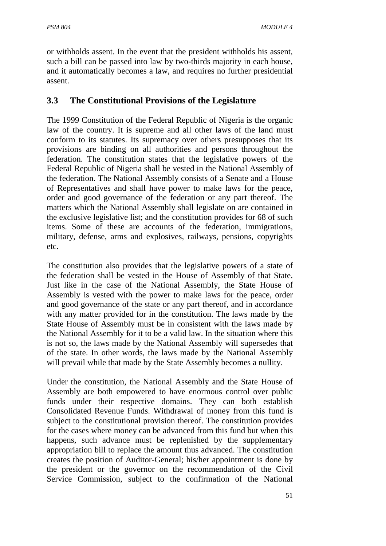or withholds assent. In the event that the president withholds his assent, such a bill can be passed into law by two-thirds majority in each house, and it automatically becomes a law, and requires no further presidential assent.

## **3.3 The Constitutional Provisions of the Legislature**

The 1999 Constitution of the Federal Republic of Nigeria is the organic law of the country. It is supreme and all other laws of the land must conform to its statutes. Its supremacy over others presupposes that its provisions are binding on all authorities and persons throughout the federation. The constitution states that the legislative powers of the Federal Republic of Nigeria shall be vested in the National Assembly of the federation. The National Assembly consists of a Senate and a House of Representatives and shall have power to make laws for the peace, order and good governance of the federation or any part thereof. The matters which the National Assembly shall legislate on are contained in the exclusive legislative list; and the constitution provides for 68 of such items. Some of these are accounts of the federation, immigrations, military, defense, arms and explosives, railways, pensions, copyrights etc.

The constitution also provides that the legislative powers of a state of the federation shall be vested in the House of Assembly of that State. Just like in the case of the National Assembly, the State House of Assembly is vested with the power to make laws for the peace, order and good governance of the state or any part thereof, and in accordance with any matter provided for in the constitution. The laws made by the State House of Assembly must be in consistent with the laws made by the National Assembly for it to be a valid law. In the situation where this is not so, the laws made by the National Assembly will supersedes that of the state. In other words, the laws made by the National Assembly will prevail while that made by the State Assembly becomes a nullity.

Under the constitution, the National Assembly and the State House of Assembly are both empowered to have enormous control over public funds under their respective domains. They can both establish Consolidated Revenue Funds. Withdrawal of money from this fund is subject to the constitutional provision thereof. The constitution provides for the cases where money can be advanced from this fund but when this happens, such advance must be replenished by the supplementary appropriation bill to replace the amount thus advanced. The constitution creates the position of Auditor-General; his/her appointment is done by the president or the governor on the recommendation of the Civil Service Commission, subject to the confirmation of the National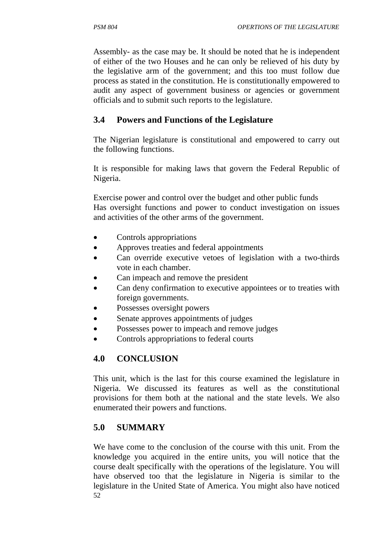Assembly- as the case may be. It should be noted that he is independent of either of the two Houses and he can only be relieved of his duty by the legislative arm of the government; and this too must follow due process as stated in the constitution. He is constitutionally empowered to audit any aspect of government business or agencies or government officials and to submit such reports to the legislature.

# **3.4 Powers and Functions of the Legislature**

The Nigerian legislature is constitutional and empowered to carry out the following functions.

It is responsible for making laws that govern the Federal Republic of Nigeria.

Exercise power and control over the budget and other public funds Has oversight functions and power to conduct investigation on issues and activities of the other arms of the government.

- Controls appropriations
- Approves treaties and federal appointments
- Can override executive vetoes of legislation with a two-thirds vote in each chamber.
- Can impeach and remove the president
- Can deny confirmation to executive appointees or to treaties with foreign governments.
- Possesses oversight powers
- Senate approves appointments of judges
- Possesses power to impeach and remove judges
- Controls appropriations to federal courts

# **4.0 CONCLUSION**

This unit, which is the last for this course examined the legislature in Nigeria. We discussed its features as well as the constitutional provisions for them both at the national and the state levels. We also enumerated their powers and functions.

## **5.0 SUMMARY**

52 We have come to the conclusion of the course with this unit. From the knowledge you acquired in the entire units, you will notice that the course dealt specifically with the operations of the legislature. You will have observed too that the legislature in Nigeria is similar to the legislature in the United State of America. You might also have noticed